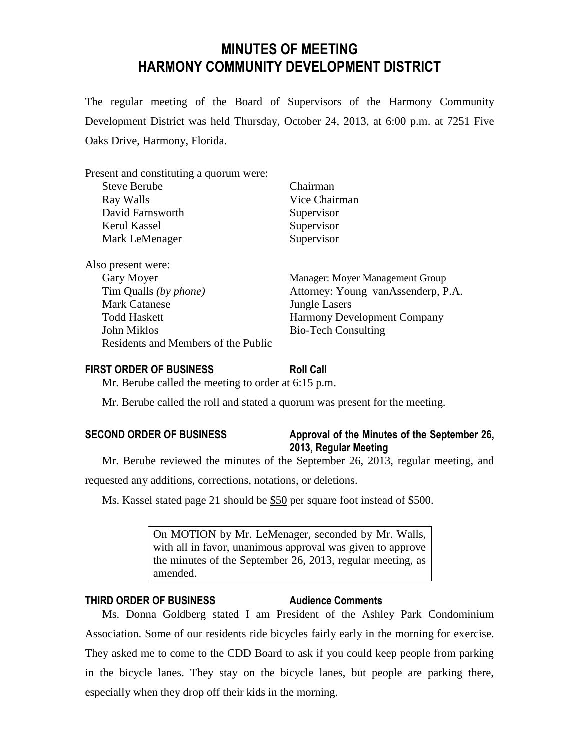# **MINUTES OF MEETING HARMONY COMMUNITY DEVELOPMENT DISTRICT**

The regular meeting of the Board of Supervisors of the Harmony Community Development District was held Thursday, October 24, 2013, at 6:00 p.m. at 7251 Five Oaks Drive, Harmony, Florida.

| Present and constituting a quorum were: |                                    |
|-----------------------------------------|------------------------------------|
| <b>Steve Berube</b>                     | Chairman                           |
| Ray Walls                               | Vice Chairman                      |
| David Farnsworth                        | Supervisor                         |
| Kerul Kassel                            | Supervisor                         |
| Mark LeMenager                          | Supervisor                         |
| Also present were:                      |                                    |
| Gary Moyer                              | Manager: Moyer Management Group    |
| Tim Qualls (by phone)                   | Attorney: Young vanAssenderp, P.A. |
| <b>Mark Catanese</b>                    | <b>Jungle Lasers</b>               |
| <b>Todd Haskett</b>                     | <b>Harmony Development Company</b> |
| John Miklos                             | <b>Bio-Tech Consulting</b>         |
| Residents and Members of the Public     |                                    |

#### **FIRST ORDER OF BUSINESS Roll Call**

Mr. Berube called the meeting to order at 6:15 p.m.

Mr. Berube called the roll and stated a quorum was present for the meeting.

## **SECOND ORDER OF BUSINESS Approval of the Minutes of the September 26, 2013, Regular Meeting**

Mr. Berube reviewed the minutes of the September 26, 2013, regular meeting, and

requested any additions, corrections, notations, or deletions.

Ms. Kassel stated page 21 should be \$50 per square foot instead of \$500.

On MOTION by Mr. LeMenager, seconded by Mr. Walls, with all in favor, unanimous approval was given to approve the minutes of the September 26, 2013, regular meeting, as amended.

## **THIRD ORDER OF BUSINESS Audience Comments**

Ms. Donna Goldberg stated I am President of the Ashley Park Condominium Association. Some of our residents ride bicycles fairly early in the morning for exercise. They asked me to come to the CDD Board to ask if you could keep people from parking in the bicycle lanes. They stay on the bicycle lanes, but people are parking there, especially when they drop off their kids in the morning.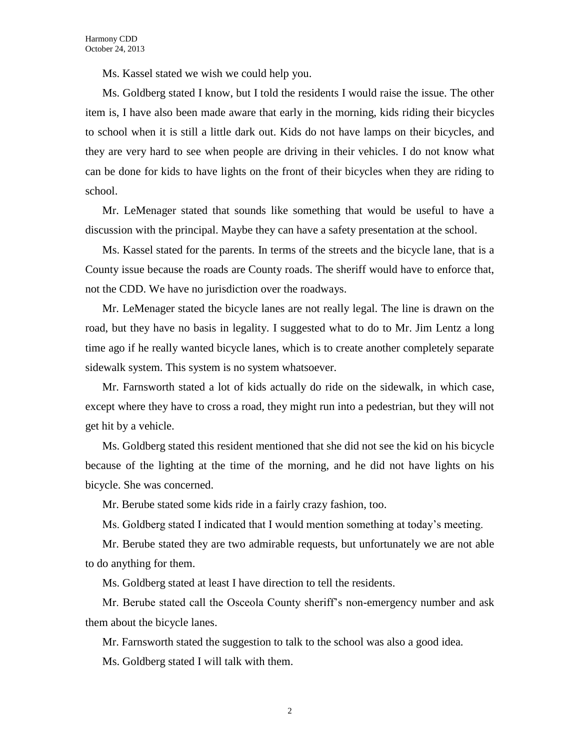Ms. Kassel stated we wish we could help you.

Ms. Goldberg stated I know, but I told the residents I would raise the issue. The other item is, I have also been made aware that early in the morning, kids riding their bicycles to school when it is still a little dark out. Kids do not have lamps on their bicycles, and they are very hard to see when people are driving in their vehicles. I do not know what can be done for kids to have lights on the front of their bicycles when they are riding to school.

Mr. LeMenager stated that sounds like something that would be useful to have a discussion with the principal. Maybe they can have a safety presentation at the school.

Ms. Kassel stated for the parents. In terms of the streets and the bicycle lane, that is a County issue because the roads are County roads. The sheriff would have to enforce that, not the CDD. We have no jurisdiction over the roadways.

Mr. LeMenager stated the bicycle lanes are not really legal. The line is drawn on the road, but they have no basis in legality. I suggested what to do to Mr. Jim Lentz a long time ago if he really wanted bicycle lanes, which is to create another completely separate sidewalk system. This system is no system whatsoever.

Mr. Farnsworth stated a lot of kids actually do ride on the sidewalk, in which case, except where they have to cross a road, they might run into a pedestrian, but they will not get hit by a vehicle.

Ms. Goldberg stated this resident mentioned that she did not see the kid on his bicycle because of the lighting at the time of the morning, and he did not have lights on his bicycle. She was concerned.

Mr. Berube stated some kids ride in a fairly crazy fashion, too.

Ms. Goldberg stated I indicated that I would mention something at today's meeting.

Mr. Berube stated they are two admirable requests, but unfortunately we are not able to do anything for them.

Ms. Goldberg stated at least I have direction to tell the residents.

Mr. Berube stated call the Osceola County sheriff's non-emergency number and ask them about the bicycle lanes.

Mr. Farnsworth stated the suggestion to talk to the school was also a good idea.

Ms. Goldberg stated I will talk with them.

2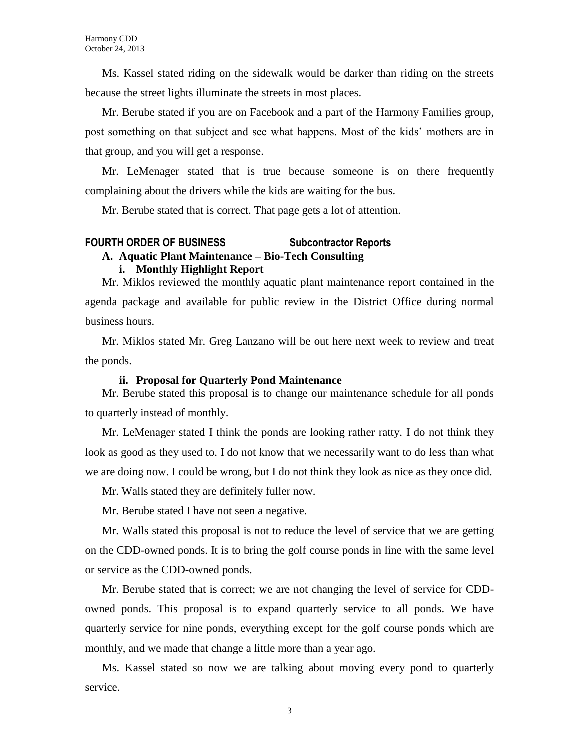Ms. Kassel stated riding on the sidewalk would be darker than riding on the streets because the street lights illuminate the streets in most places.

Mr. Berube stated if you are on Facebook and a part of the Harmony Families group, post something on that subject and see what happens. Most of the kids' mothers are in that group, and you will get a response.

Mr. LeMenager stated that is true because someone is on there frequently complaining about the drivers while the kids are waiting for the bus.

Mr. Berube stated that is correct. That page gets a lot of attention.

# **FOURTH ORDER OF BUSINESS Subcontractor Reports**

# **A. Aquatic Plant Maintenance – Bio-Tech Consulting**

#### **i. Monthly Highlight Report**

Mr. Miklos reviewed the monthly aquatic plant maintenance report contained in the agenda package and available for public review in the District Office during normal business hours.

Mr. Miklos stated Mr. Greg Lanzano will be out here next week to review and treat the ponds.

#### **ii. Proposal for Quarterly Pond Maintenance**

Mr. Berube stated this proposal is to change our maintenance schedule for all ponds to quarterly instead of monthly.

Mr. LeMenager stated I think the ponds are looking rather ratty. I do not think they look as good as they used to. I do not know that we necessarily want to do less than what we are doing now. I could be wrong, but I do not think they look as nice as they once did.

Mr. Walls stated they are definitely fuller now.

Mr. Berube stated I have not seen a negative.

Mr. Walls stated this proposal is not to reduce the level of service that we are getting on the CDD-owned ponds. It is to bring the golf course ponds in line with the same level or service as the CDD-owned ponds.

Mr. Berube stated that is correct; we are not changing the level of service for CDDowned ponds. This proposal is to expand quarterly service to all ponds. We have quarterly service for nine ponds, everything except for the golf course ponds which are monthly, and we made that change a little more than a year ago.

Ms. Kassel stated so now we are talking about moving every pond to quarterly service.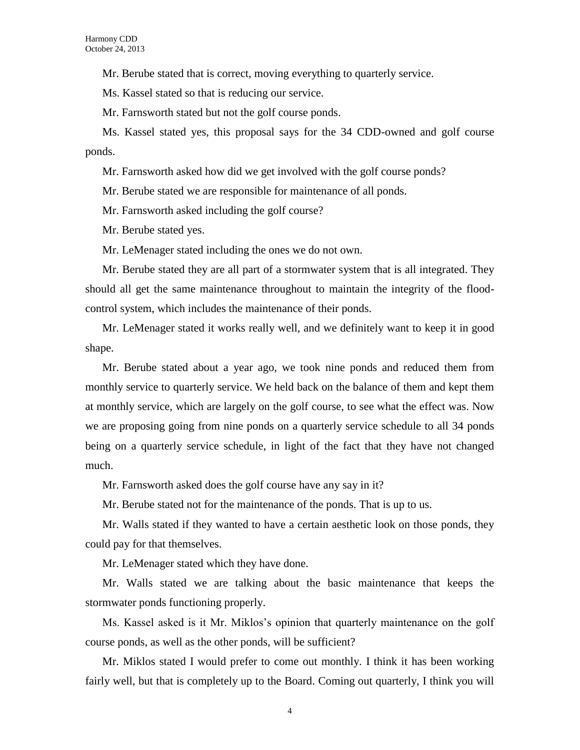Mr. Berube stated that is correct, moving everything to quarterly service.

Ms. Kassel stated so that is reducing our service.

Mr. Farnsworth stated but not the golf course ponds.

Ms. Kassel stated yes, this proposal says for the 34 CDD-owned and golf course ponds.

Mr. Farnsworth asked how did we get involved with the golf course ponds?

Mr. Berube stated we are responsible for maintenance of all ponds.

Mr. Farnsworth asked including the golf course?

Mr. Berube stated yes.

Mr. LeMenager stated including the ones we do not own.

Mr. Berube stated they are all part of a stormwater system that is all integrated. They should all get the same maintenance throughout to maintain the integrity of the floodcontrol system, which includes the maintenance of their ponds.

Mr. LeMenager stated it works really well, and we definitely want to keep it in good shape.

Mr. Berube stated about a year ago, we took nine ponds and reduced them from monthly service to quarterly service. We held back on the balance of them and kept them at monthly service, which are largely on the golf course, to see what the effect was. Now we are proposing going from nine ponds on a quarterly service schedule to all 34 ponds being on a quarterly service schedule, in light of the fact that they have not changed much.

Mr. Farnsworth asked does the golf course have any say in it?

Mr. Berube stated not for the maintenance of the ponds. That is up to us.

Mr. Walls stated if they wanted to have a certain aesthetic look on those ponds, they could pay for that themselves.

Mr. LeMenager stated which they have done.

Mr. Walls stated we are talking about the basic maintenance that keeps the stormwater ponds functioning properly.

Ms. Kassel asked is it Mr. Miklos's opinion that quarterly maintenance on the golf course ponds, as well as the other ponds, will be sufficient?

Mr. Miklos stated I would prefer to come out monthly. I think it has been working fairly well, but that is completely up to the Board. Coming out quarterly, I think you will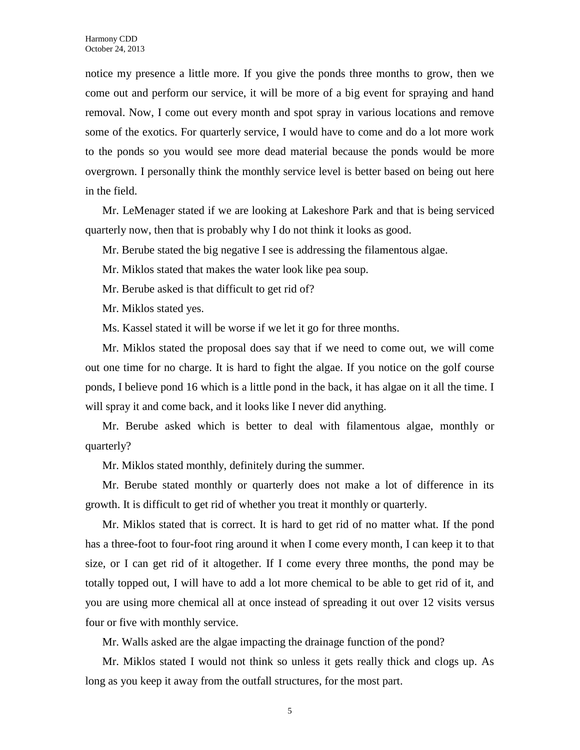notice my presence a little more. If you give the ponds three months to grow, then we come out and perform our service, it will be more of a big event for spraying and hand removal. Now, I come out every month and spot spray in various locations and remove some of the exotics. For quarterly service, I would have to come and do a lot more work to the ponds so you would see more dead material because the ponds would be more overgrown. I personally think the monthly service level is better based on being out here in the field.

Mr. LeMenager stated if we are looking at Lakeshore Park and that is being serviced quarterly now, then that is probably why I do not think it looks as good.

Mr. Berube stated the big negative I see is addressing the filamentous algae.

Mr. Miklos stated that makes the water look like pea soup.

Mr. Berube asked is that difficult to get rid of?

Mr. Miklos stated yes.

Ms. Kassel stated it will be worse if we let it go for three months.

Mr. Miklos stated the proposal does say that if we need to come out, we will come out one time for no charge. It is hard to fight the algae. If you notice on the golf course ponds, I believe pond 16 which is a little pond in the back, it has algae on it all the time. I will spray it and come back, and it looks like I never did anything.

Mr. Berube asked which is better to deal with filamentous algae, monthly or quarterly?

Mr. Miklos stated monthly, definitely during the summer.

Mr. Berube stated monthly or quarterly does not make a lot of difference in its growth. It is difficult to get rid of whether you treat it monthly or quarterly.

Mr. Miklos stated that is correct. It is hard to get rid of no matter what. If the pond has a three-foot to four-foot ring around it when I come every month, I can keep it to that size, or I can get rid of it altogether. If I come every three months, the pond may be totally topped out, I will have to add a lot more chemical to be able to get rid of it, and you are using more chemical all at once instead of spreading it out over 12 visits versus four or five with monthly service.

Mr. Walls asked are the algae impacting the drainage function of the pond?

Mr. Miklos stated I would not think so unless it gets really thick and clogs up. As long as you keep it away from the outfall structures, for the most part.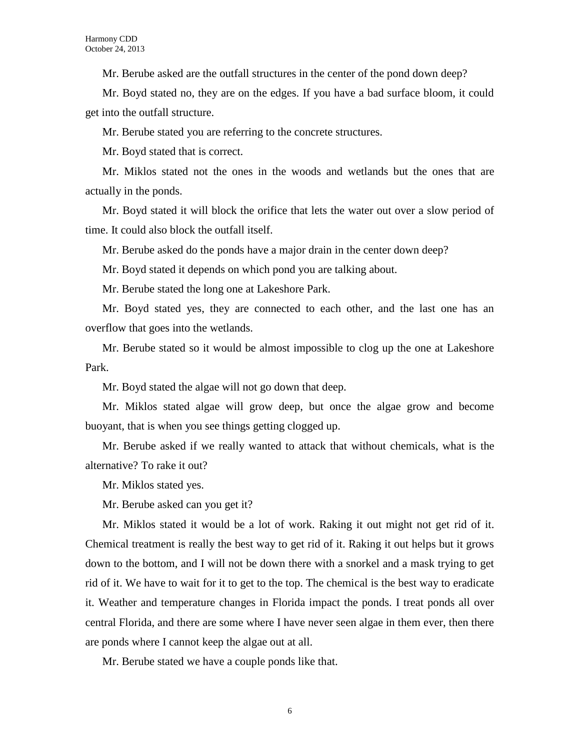Mr. Berube asked are the outfall structures in the center of the pond down deep?

Mr. Boyd stated no, they are on the edges. If you have a bad surface bloom, it could get into the outfall structure.

Mr. Berube stated you are referring to the concrete structures.

Mr. Boyd stated that is correct.

Mr. Miklos stated not the ones in the woods and wetlands but the ones that are actually in the ponds.

Mr. Boyd stated it will block the orifice that lets the water out over a slow period of time. It could also block the outfall itself.

Mr. Berube asked do the ponds have a major drain in the center down deep?

Mr. Boyd stated it depends on which pond you are talking about.

Mr. Berube stated the long one at Lakeshore Park.

Mr. Boyd stated yes, they are connected to each other, and the last one has an overflow that goes into the wetlands.

Mr. Berube stated so it would be almost impossible to clog up the one at Lakeshore Park.

Mr. Boyd stated the algae will not go down that deep.

Mr. Miklos stated algae will grow deep, but once the algae grow and become buoyant, that is when you see things getting clogged up.

Mr. Berube asked if we really wanted to attack that without chemicals, what is the alternative? To rake it out?

Mr. Miklos stated yes.

Mr. Berube asked can you get it?

Mr. Miklos stated it would be a lot of work. Raking it out might not get rid of it. Chemical treatment is really the best way to get rid of it. Raking it out helps but it grows down to the bottom, and I will not be down there with a snorkel and a mask trying to get rid of it. We have to wait for it to get to the top. The chemical is the best way to eradicate it. Weather and temperature changes in Florida impact the ponds. I treat ponds all over central Florida, and there are some where I have never seen algae in them ever, then there are ponds where I cannot keep the algae out at all.

Mr. Berube stated we have a couple ponds like that.

6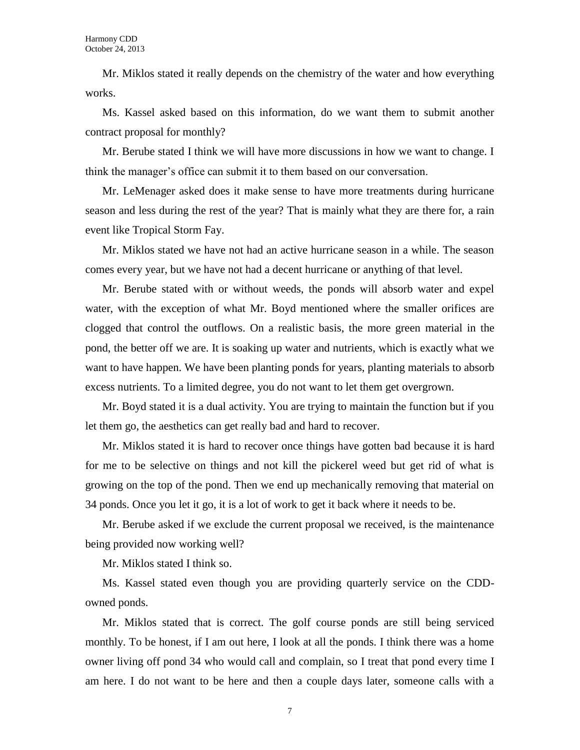Mr. Miklos stated it really depends on the chemistry of the water and how everything works.

Ms. Kassel asked based on this information, do we want them to submit another contract proposal for monthly?

Mr. Berube stated I think we will have more discussions in how we want to change. I think the manager's office can submit it to them based on our conversation.

Mr. LeMenager asked does it make sense to have more treatments during hurricane season and less during the rest of the year? That is mainly what they are there for, a rain event like Tropical Storm Fay.

Mr. Miklos stated we have not had an active hurricane season in a while. The season comes every year, but we have not had a decent hurricane or anything of that level.

Mr. Berube stated with or without weeds, the ponds will absorb water and expel water, with the exception of what Mr. Boyd mentioned where the smaller orifices are clogged that control the outflows. On a realistic basis, the more green material in the pond, the better off we are. It is soaking up water and nutrients, which is exactly what we want to have happen. We have been planting ponds for years, planting materials to absorb excess nutrients. To a limited degree, you do not want to let them get overgrown.

Mr. Boyd stated it is a dual activity. You are trying to maintain the function but if you let them go, the aesthetics can get really bad and hard to recover.

Mr. Miklos stated it is hard to recover once things have gotten bad because it is hard for me to be selective on things and not kill the pickerel weed but get rid of what is growing on the top of the pond. Then we end up mechanically removing that material on 34 ponds. Once you let it go, it is a lot of work to get it back where it needs to be.

Mr. Berube asked if we exclude the current proposal we received, is the maintenance being provided now working well?

Mr. Miklos stated I think so.

Ms. Kassel stated even though you are providing quarterly service on the CDDowned ponds.

Mr. Miklos stated that is correct. The golf course ponds are still being serviced monthly. To be honest, if I am out here, I look at all the ponds. I think there was a home owner living off pond 34 who would call and complain, so I treat that pond every time I am here. I do not want to be here and then a couple days later, someone calls with a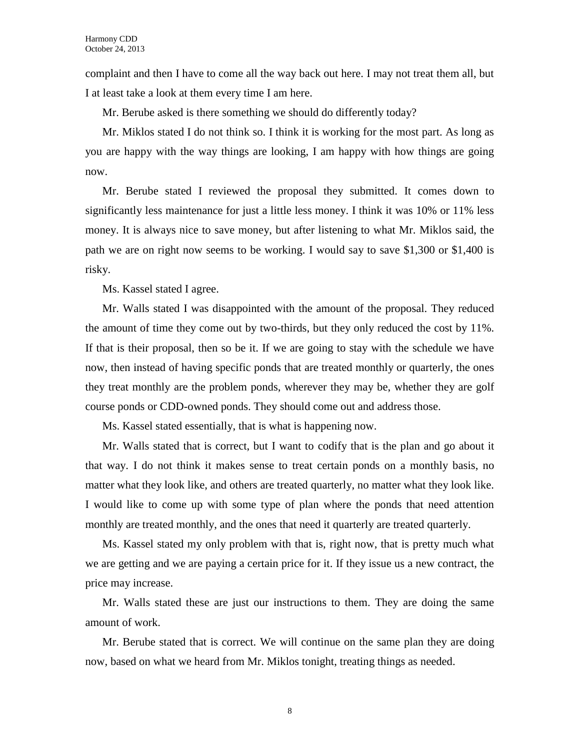complaint and then I have to come all the way back out here. I may not treat them all, but I at least take a look at them every time I am here.

Mr. Berube asked is there something we should do differently today?

Mr. Miklos stated I do not think so. I think it is working for the most part. As long as you are happy with the way things are looking, I am happy with how things are going now.

Mr. Berube stated I reviewed the proposal they submitted. It comes down to significantly less maintenance for just a little less money. I think it was 10% or 11% less money. It is always nice to save money, but after listening to what Mr. Miklos said, the path we are on right now seems to be working. I would say to save \$1,300 or \$1,400 is risky.

Ms. Kassel stated I agree.

Mr. Walls stated I was disappointed with the amount of the proposal. They reduced the amount of time they come out by two-thirds, but they only reduced the cost by 11%. If that is their proposal, then so be it. If we are going to stay with the schedule we have now, then instead of having specific ponds that are treated monthly or quarterly, the ones they treat monthly are the problem ponds, wherever they may be, whether they are golf course ponds or CDD-owned ponds. They should come out and address those.

Ms. Kassel stated essentially, that is what is happening now.

Mr. Walls stated that is correct, but I want to codify that is the plan and go about it that way. I do not think it makes sense to treat certain ponds on a monthly basis, no matter what they look like, and others are treated quarterly, no matter what they look like. I would like to come up with some type of plan where the ponds that need attention monthly are treated monthly, and the ones that need it quarterly are treated quarterly.

Ms. Kassel stated my only problem with that is, right now, that is pretty much what we are getting and we are paying a certain price for it. If they issue us a new contract, the price may increase.

Mr. Walls stated these are just our instructions to them. They are doing the same amount of work.

Mr. Berube stated that is correct. We will continue on the same plan they are doing now, based on what we heard from Mr. Miklos tonight, treating things as needed.

8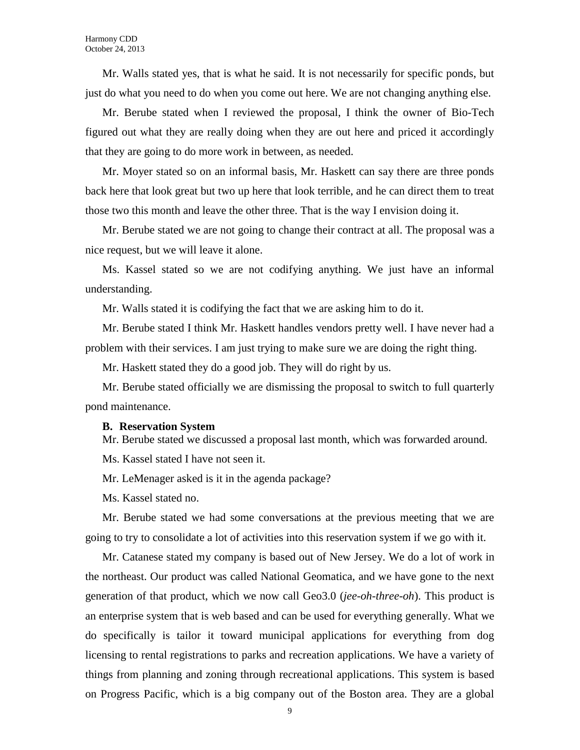Mr. Walls stated yes, that is what he said. It is not necessarily for specific ponds, but just do what you need to do when you come out here. We are not changing anything else.

Mr. Berube stated when I reviewed the proposal, I think the owner of Bio-Tech figured out what they are really doing when they are out here and priced it accordingly that they are going to do more work in between, as needed.

Mr. Moyer stated so on an informal basis, Mr. Haskett can say there are three ponds back here that look great but two up here that look terrible, and he can direct them to treat those two this month and leave the other three. That is the way I envision doing it.

Mr. Berube stated we are not going to change their contract at all. The proposal was a nice request, but we will leave it alone.

Ms. Kassel stated so we are not codifying anything. We just have an informal understanding.

Mr. Walls stated it is codifying the fact that we are asking him to do it.

Mr. Berube stated I think Mr. Haskett handles vendors pretty well. I have never had a problem with their services. I am just trying to make sure we are doing the right thing.

Mr. Haskett stated they do a good job. They will do right by us.

Mr. Berube stated officially we are dismissing the proposal to switch to full quarterly pond maintenance.

#### **B. Reservation System**

Mr. Berube stated we discussed a proposal last month, which was forwarded around.

Ms. Kassel stated I have not seen it.

Mr. LeMenager asked is it in the agenda package?

Ms. Kassel stated no.

Mr. Berube stated we had some conversations at the previous meeting that we are going to try to consolidate a lot of activities into this reservation system if we go with it.

Mr. Catanese stated my company is based out of New Jersey. We do a lot of work in the northeast. Our product was called National Geomatica, and we have gone to the next generation of that product, which we now call Geo3.0 (*jee-oh-three-oh*). This product is an enterprise system that is web based and can be used for everything generally. What we do specifically is tailor it toward municipal applications for everything from dog licensing to rental registrations to parks and recreation applications. We have a variety of things from planning and zoning through recreational applications. This system is based on Progress Pacific, which is a big company out of the Boston area. They are a global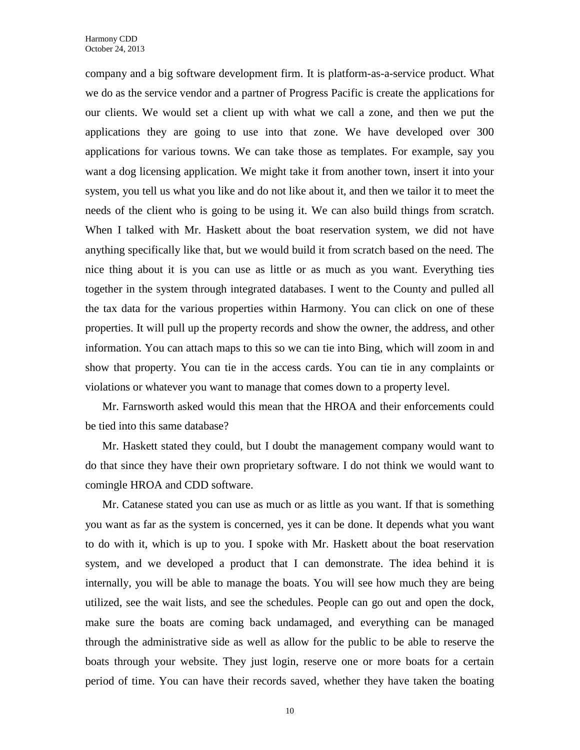company and a big software development firm. It is platform-as-a-service product. What we do as the service vendor and a partner of Progress Pacific is create the applications for our clients. We would set a client up with what we call a zone, and then we put the applications they are going to use into that zone. We have developed over 300 applications for various towns. We can take those as templates. For example, say you want a dog licensing application. We might take it from another town, insert it into your system, you tell us what you like and do not like about it, and then we tailor it to meet the needs of the client who is going to be using it. We can also build things from scratch. When I talked with Mr. Haskett about the boat reservation system, we did not have anything specifically like that, but we would build it from scratch based on the need. The nice thing about it is you can use as little or as much as you want. Everything ties together in the system through integrated databases. I went to the County and pulled all the tax data for the various properties within Harmony. You can click on one of these properties. It will pull up the property records and show the owner, the address, and other information. You can attach maps to this so we can tie into Bing, which will zoom in and show that property. You can tie in the access cards. You can tie in any complaints or violations or whatever you want to manage that comes down to a property level.

Mr. Farnsworth asked would this mean that the HROA and their enforcements could be tied into this same database?

Mr. Haskett stated they could, but I doubt the management company would want to do that since they have their own proprietary software. I do not think we would want to comingle HROA and CDD software.

Mr. Catanese stated you can use as much or as little as you want. If that is something you want as far as the system is concerned, yes it can be done. It depends what you want to do with it, which is up to you. I spoke with Mr. Haskett about the boat reservation system, and we developed a product that I can demonstrate. The idea behind it is internally, you will be able to manage the boats. You will see how much they are being utilized, see the wait lists, and see the schedules. People can go out and open the dock, make sure the boats are coming back undamaged, and everything can be managed through the administrative side as well as allow for the public to be able to reserve the boats through your website. They just login, reserve one or more boats for a certain period of time. You can have their records saved, whether they have taken the boating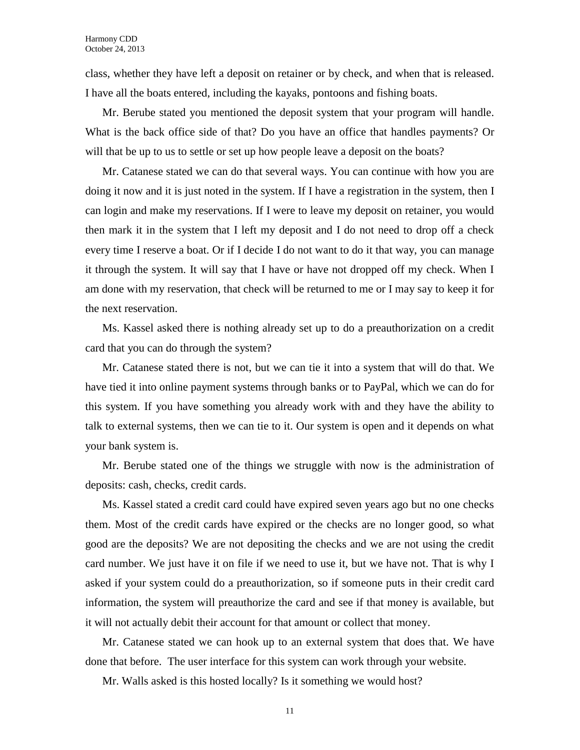class, whether they have left a deposit on retainer or by check, and when that is released. I have all the boats entered, including the kayaks, pontoons and fishing boats.

Mr. Berube stated you mentioned the deposit system that your program will handle. What is the back office side of that? Do you have an office that handles payments? Or will that be up to us to settle or set up how people leave a deposit on the boats?

Mr. Catanese stated we can do that several ways. You can continue with how you are doing it now and it is just noted in the system. If I have a registration in the system, then I can login and make my reservations. If I were to leave my deposit on retainer, you would then mark it in the system that I left my deposit and I do not need to drop off a check every time I reserve a boat. Or if I decide I do not want to do it that way, you can manage it through the system. It will say that I have or have not dropped off my check. When I am done with my reservation, that check will be returned to me or I may say to keep it for the next reservation.

Ms. Kassel asked there is nothing already set up to do a preauthorization on a credit card that you can do through the system?

Mr. Catanese stated there is not, but we can tie it into a system that will do that. We have tied it into online payment systems through banks or to PayPal, which we can do for this system. If you have something you already work with and they have the ability to talk to external systems, then we can tie to it. Our system is open and it depends on what your bank system is.

Mr. Berube stated one of the things we struggle with now is the administration of deposits: cash, checks, credit cards.

Ms. Kassel stated a credit card could have expired seven years ago but no one checks them. Most of the credit cards have expired or the checks are no longer good, so what good are the deposits? We are not depositing the checks and we are not using the credit card number. We just have it on file if we need to use it, but we have not. That is why I asked if your system could do a preauthorization, so if someone puts in their credit card information, the system will preauthorize the card and see if that money is available, but it will not actually debit their account for that amount or collect that money.

Mr. Catanese stated we can hook up to an external system that does that. We have done that before. The user interface for this system can work through your website.

Mr. Walls asked is this hosted locally? Is it something we would host?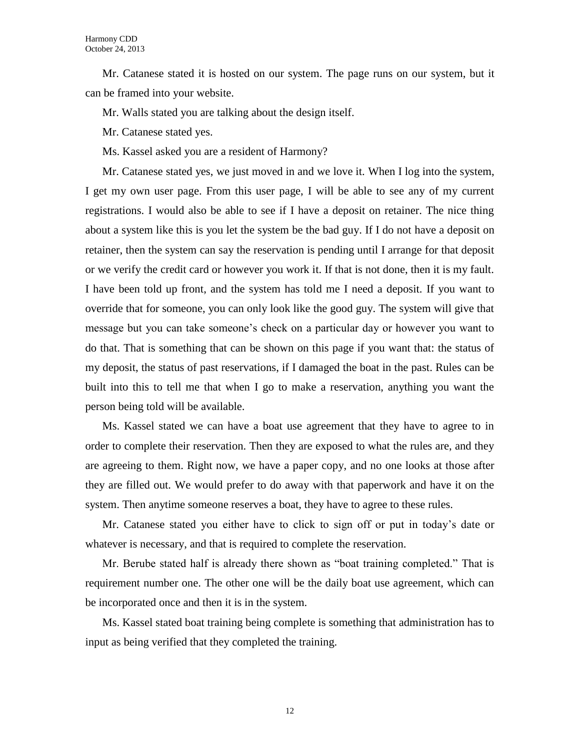Mr. Catanese stated it is hosted on our system. The page runs on our system, but it can be framed into your website.

Mr. Walls stated you are talking about the design itself.

Mr. Catanese stated yes.

Ms. Kassel asked you are a resident of Harmony?

Mr. Catanese stated yes, we just moved in and we love it. When I log into the system, I get my own user page. From this user page, I will be able to see any of my current registrations. I would also be able to see if I have a deposit on retainer. The nice thing about a system like this is you let the system be the bad guy. If I do not have a deposit on retainer, then the system can say the reservation is pending until I arrange for that deposit or we verify the credit card or however you work it. If that is not done, then it is my fault. I have been told up front, and the system has told me I need a deposit. If you want to override that for someone, you can only look like the good guy. The system will give that message but you can take someone's check on a particular day or however you want to do that. That is something that can be shown on this page if you want that: the status of my deposit, the status of past reservations, if I damaged the boat in the past. Rules can be built into this to tell me that when I go to make a reservation, anything you want the person being told will be available.

Ms. Kassel stated we can have a boat use agreement that they have to agree to in order to complete their reservation. Then they are exposed to what the rules are, and they are agreeing to them. Right now, we have a paper copy, and no one looks at those after they are filled out. We would prefer to do away with that paperwork and have it on the system. Then anytime someone reserves a boat, they have to agree to these rules.

Mr. Catanese stated you either have to click to sign off or put in today's date or whatever is necessary, and that is required to complete the reservation.

Mr. Berube stated half is already there shown as "boat training completed." That is requirement number one. The other one will be the daily boat use agreement, which can be incorporated once and then it is in the system.

Ms. Kassel stated boat training being complete is something that administration has to input as being verified that they completed the training.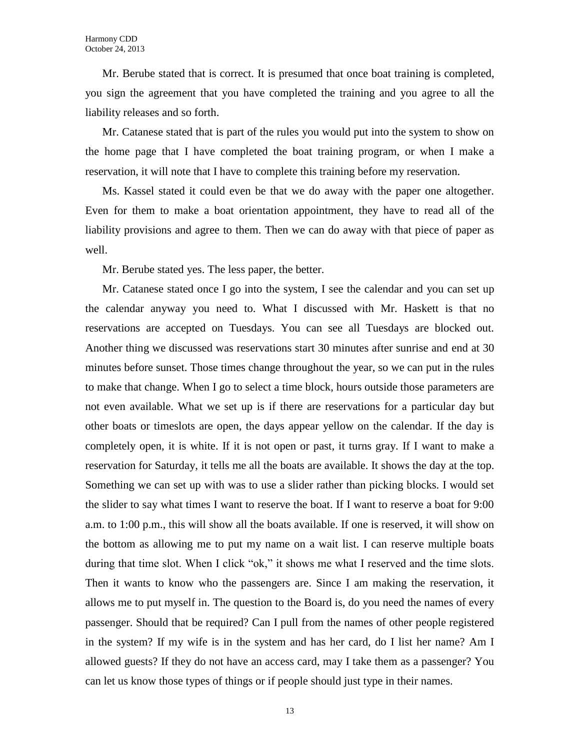Mr. Berube stated that is correct. It is presumed that once boat training is completed, you sign the agreement that you have completed the training and you agree to all the liability releases and so forth.

Mr. Catanese stated that is part of the rules you would put into the system to show on the home page that I have completed the boat training program, or when I make a reservation, it will note that I have to complete this training before my reservation.

Ms. Kassel stated it could even be that we do away with the paper one altogether. Even for them to make a boat orientation appointment, they have to read all of the liability provisions and agree to them. Then we can do away with that piece of paper as well.

Mr. Berube stated yes. The less paper, the better.

Mr. Catanese stated once I go into the system, I see the calendar and you can set up the calendar anyway you need to. What I discussed with Mr. Haskett is that no reservations are accepted on Tuesdays. You can see all Tuesdays are blocked out. Another thing we discussed was reservations start 30 minutes after sunrise and end at 30 minutes before sunset. Those times change throughout the year, so we can put in the rules to make that change. When I go to select a time block, hours outside those parameters are not even available. What we set up is if there are reservations for a particular day but other boats or timeslots are open, the days appear yellow on the calendar. If the day is completely open, it is white. If it is not open or past, it turns gray. If I want to make a reservation for Saturday, it tells me all the boats are available. It shows the day at the top. Something we can set up with was to use a slider rather than picking blocks. I would set the slider to say what times I want to reserve the boat. If I want to reserve a boat for 9:00 a.m. to 1:00 p.m., this will show all the boats available. If one is reserved, it will show on the bottom as allowing me to put my name on a wait list. I can reserve multiple boats during that time slot. When I click "ok," it shows me what I reserved and the time slots. Then it wants to know who the passengers are. Since I am making the reservation, it allows me to put myself in. The question to the Board is, do you need the names of every passenger. Should that be required? Can I pull from the names of other people registered in the system? If my wife is in the system and has her card, do I list her name? Am I allowed guests? If they do not have an access card, may I take them as a passenger? You can let us know those types of things or if people should just type in their names.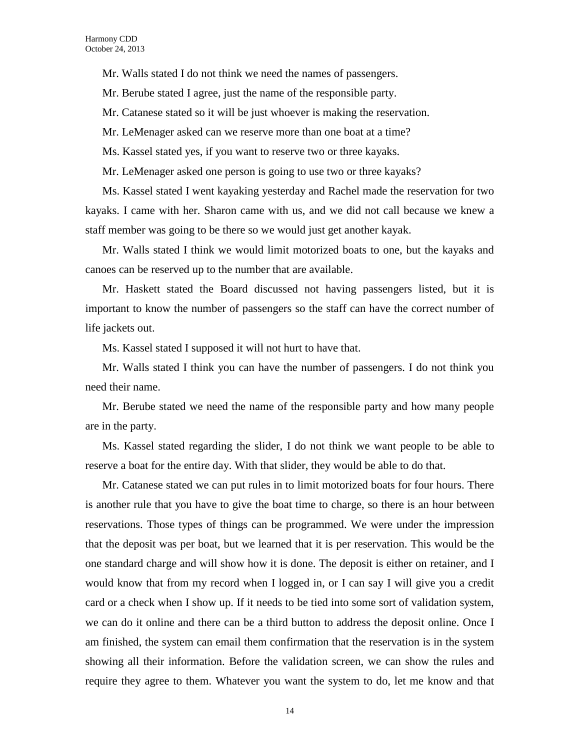Mr. Walls stated I do not think we need the names of passengers.

Mr. Berube stated I agree, just the name of the responsible party.

Mr. Catanese stated so it will be just whoever is making the reservation.

Mr. LeMenager asked can we reserve more than one boat at a time?

Ms. Kassel stated yes, if you want to reserve two or three kayaks.

Mr. LeMenager asked one person is going to use two or three kayaks?

Ms. Kassel stated I went kayaking yesterday and Rachel made the reservation for two kayaks. I came with her. Sharon came with us, and we did not call because we knew a staff member was going to be there so we would just get another kayak.

Mr. Walls stated I think we would limit motorized boats to one, but the kayaks and canoes can be reserved up to the number that are available.

Mr. Haskett stated the Board discussed not having passengers listed, but it is important to know the number of passengers so the staff can have the correct number of life jackets out.

Ms. Kassel stated I supposed it will not hurt to have that.

Mr. Walls stated I think you can have the number of passengers. I do not think you need their name.

Mr. Berube stated we need the name of the responsible party and how many people are in the party.

Ms. Kassel stated regarding the slider, I do not think we want people to be able to reserve a boat for the entire day. With that slider, they would be able to do that.

Mr. Catanese stated we can put rules in to limit motorized boats for four hours. There is another rule that you have to give the boat time to charge, so there is an hour between reservations. Those types of things can be programmed. We were under the impression that the deposit was per boat, but we learned that it is per reservation. This would be the one standard charge and will show how it is done. The deposit is either on retainer, and I would know that from my record when I logged in, or I can say I will give you a credit card or a check when I show up. If it needs to be tied into some sort of validation system, we can do it online and there can be a third button to address the deposit online. Once I am finished, the system can email them confirmation that the reservation is in the system showing all their information. Before the validation screen, we can show the rules and require they agree to them. Whatever you want the system to do, let me know and that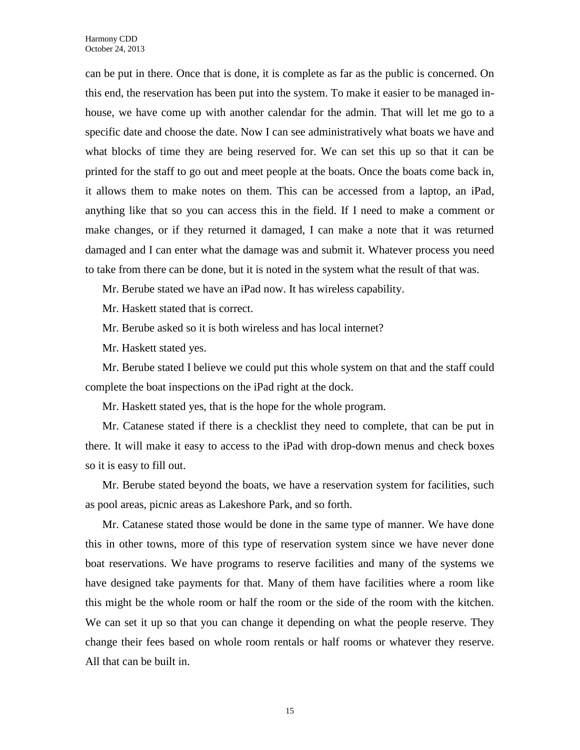can be put in there. Once that is done, it is complete as far as the public is concerned. On this end, the reservation has been put into the system. To make it easier to be managed inhouse, we have come up with another calendar for the admin. That will let me go to a specific date and choose the date. Now I can see administratively what boats we have and what blocks of time they are being reserved for. We can set this up so that it can be printed for the staff to go out and meet people at the boats. Once the boats come back in, it allows them to make notes on them. This can be accessed from a laptop, an iPad, anything like that so you can access this in the field. If I need to make a comment or make changes, or if they returned it damaged, I can make a note that it was returned damaged and I can enter what the damage was and submit it. Whatever process you need to take from there can be done, but it is noted in the system what the result of that was.

Mr. Berube stated we have an iPad now. It has wireless capability.

Mr. Haskett stated that is correct.

Mr. Berube asked so it is both wireless and has local internet?

Mr. Haskett stated yes.

Mr. Berube stated I believe we could put this whole system on that and the staff could complete the boat inspections on the iPad right at the dock.

Mr. Haskett stated yes, that is the hope for the whole program.

Mr. Catanese stated if there is a checklist they need to complete, that can be put in there. It will make it easy to access to the iPad with drop-down menus and check boxes so it is easy to fill out.

Mr. Berube stated beyond the boats, we have a reservation system for facilities, such as pool areas, picnic areas as Lakeshore Park, and so forth.

Mr. Catanese stated those would be done in the same type of manner. We have done this in other towns, more of this type of reservation system since we have never done boat reservations. We have programs to reserve facilities and many of the systems we have designed take payments for that. Many of them have facilities where a room like this might be the whole room or half the room or the side of the room with the kitchen. We can set it up so that you can change it depending on what the people reserve. They change their fees based on whole room rentals or half rooms or whatever they reserve. All that can be built in.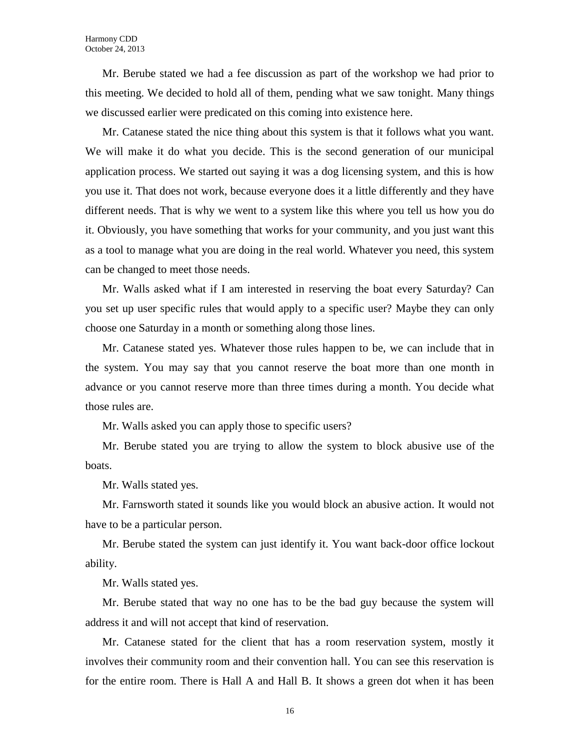Mr. Berube stated we had a fee discussion as part of the workshop we had prior to this meeting. We decided to hold all of them, pending what we saw tonight. Many things we discussed earlier were predicated on this coming into existence here.

Mr. Catanese stated the nice thing about this system is that it follows what you want. We will make it do what you decide. This is the second generation of our municipal application process. We started out saying it was a dog licensing system, and this is how you use it. That does not work, because everyone does it a little differently and they have different needs. That is why we went to a system like this where you tell us how you do it. Obviously, you have something that works for your community, and you just want this as a tool to manage what you are doing in the real world. Whatever you need, this system can be changed to meet those needs.

Mr. Walls asked what if I am interested in reserving the boat every Saturday? Can you set up user specific rules that would apply to a specific user? Maybe they can only choose one Saturday in a month or something along those lines.

Mr. Catanese stated yes. Whatever those rules happen to be, we can include that in the system. You may say that you cannot reserve the boat more than one month in advance or you cannot reserve more than three times during a month. You decide what those rules are.

Mr. Walls asked you can apply those to specific users?

Mr. Berube stated you are trying to allow the system to block abusive use of the boats.

Mr. Walls stated yes.

Mr. Farnsworth stated it sounds like you would block an abusive action. It would not have to be a particular person.

Mr. Berube stated the system can just identify it. You want back-door office lockout ability.

Mr. Walls stated yes.

Mr. Berube stated that way no one has to be the bad guy because the system will address it and will not accept that kind of reservation.

Mr. Catanese stated for the client that has a room reservation system, mostly it involves their community room and their convention hall. You can see this reservation is for the entire room. There is Hall A and Hall B. It shows a green dot when it has been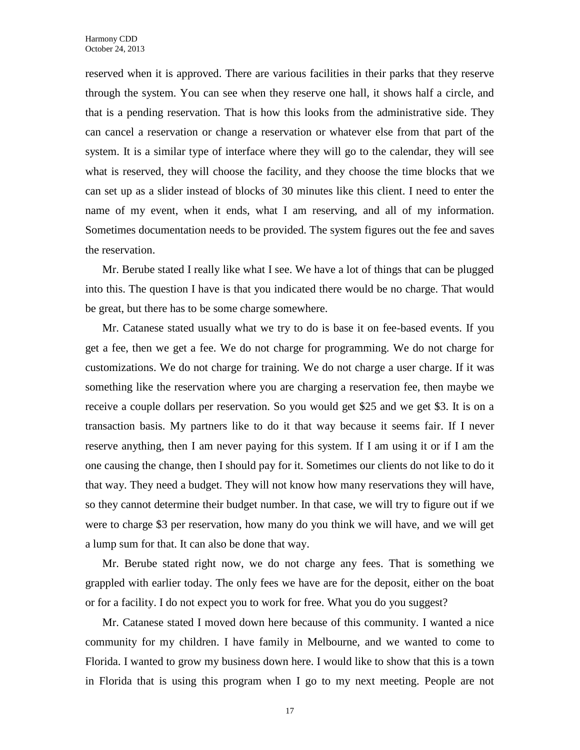reserved when it is approved. There are various facilities in their parks that they reserve through the system. You can see when they reserve one hall, it shows half a circle, and that is a pending reservation. That is how this looks from the administrative side. They can cancel a reservation or change a reservation or whatever else from that part of the system. It is a similar type of interface where they will go to the calendar, they will see what is reserved, they will choose the facility, and they choose the time blocks that we can set up as a slider instead of blocks of 30 minutes like this client. I need to enter the name of my event, when it ends, what I am reserving, and all of my information. Sometimes documentation needs to be provided. The system figures out the fee and saves the reservation.

Mr. Berube stated I really like what I see. We have a lot of things that can be plugged into this. The question I have is that you indicated there would be no charge. That would be great, but there has to be some charge somewhere.

Mr. Catanese stated usually what we try to do is base it on fee-based events. If you get a fee, then we get a fee. We do not charge for programming. We do not charge for customizations. We do not charge for training. We do not charge a user charge. If it was something like the reservation where you are charging a reservation fee, then maybe we receive a couple dollars per reservation. So you would get \$25 and we get \$3. It is on a transaction basis. My partners like to do it that way because it seems fair. If I never reserve anything, then I am never paying for this system. If I am using it or if I am the one causing the change, then I should pay for it. Sometimes our clients do not like to do it that way. They need a budget. They will not know how many reservations they will have, so they cannot determine their budget number. In that case, we will try to figure out if we were to charge \$3 per reservation, how many do you think we will have, and we will get a lump sum for that. It can also be done that way.

Mr. Berube stated right now, we do not charge any fees. That is something we grappled with earlier today. The only fees we have are for the deposit, either on the boat or for a facility. I do not expect you to work for free. What you do you suggest?

Mr. Catanese stated I moved down here because of this community. I wanted a nice community for my children. I have family in Melbourne, and we wanted to come to Florida. I wanted to grow my business down here. I would like to show that this is a town in Florida that is using this program when I go to my next meeting. People are not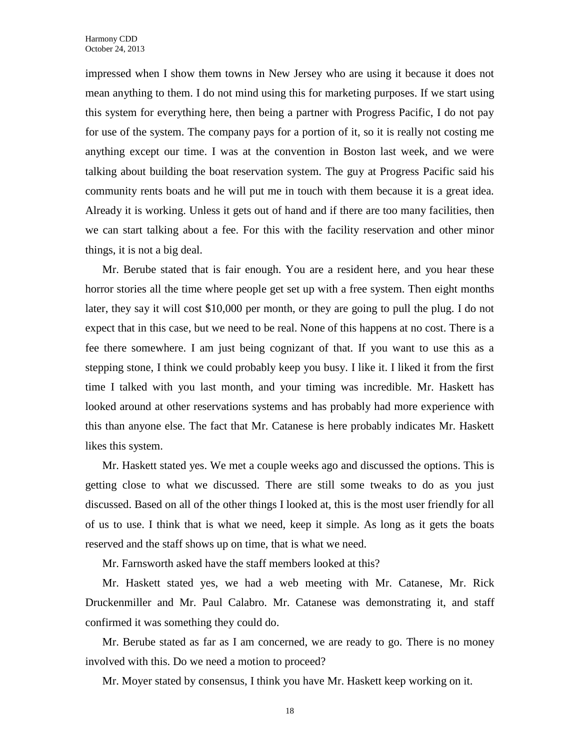impressed when I show them towns in New Jersey who are using it because it does not mean anything to them. I do not mind using this for marketing purposes. If we start using this system for everything here, then being a partner with Progress Pacific, I do not pay for use of the system. The company pays for a portion of it, so it is really not costing me anything except our time. I was at the convention in Boston last week, and we were talking about building the boat reservation system. The guy at Progress Pacific said his community rents boats and he will put me in touch with them because it is a great idea. Already it is working. Unless it gets out of hand and if there are too many facilities, then we can start talking about a fee. For this with the facility reservation and other minor things, it is not a big deal.

Mr. Berube stated that is fair enough. You are a resident here, and you hear these horror stories all the time where people get set up with a free system. Then eight months later, they say it will cost \$10,000 per month, or they are going to pull the plug. I do not expect that in this case, but we need to be real. None of this happens at no cost. There is a fee there somewhere. I am just being cognizant of that. If you want to use this as a stepping stone, I think we could probably keep you busy. I like it. I liked it from the first time I talked with you last month, and your timing was incredible. Mr. Haskett has looked around at other reservations systems and has probably had more experience with this than anyone else. The fact that Mr. Catanese is here probably indicates Mr. Haskett likes this system.

Mr. Haskett stated yes. We met a couple weeks ago and discussed the options. This is getting close to what we discussed. There are still some tweaks to do as you just discussed. Based on all of the other things I looked at, this is the most user friendly for all of us to use. I think that is what we need, keep it simple. As long as it gets the boats reserved and the staff shows up on time, that is what we need.

Mr. Farnsworth asked have the staff members looked at this?

Mr. Haskett stated yes, we had a web meeting with Mr. Catanese, Mr. Rick Druckenmiller and Mr. Paul Calabro. Mr. Catanese was demonstrating it, and staff confirmed it was something they could do.

Mr. Berube stated as far as I am concerned, we are ready to go. There is no money involved with this. Do we need a motion to proceed?

Mr. Moyer stated by consensus, I think you have Mr. Haskett keep working on it.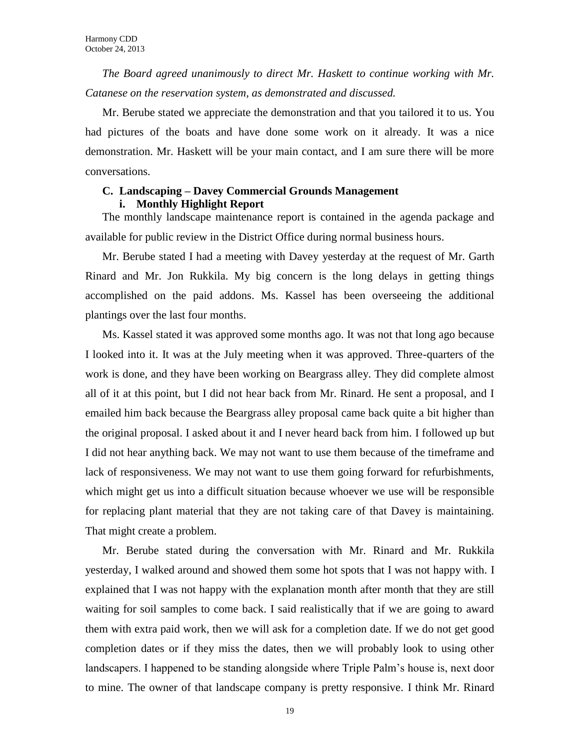*The Board agreed unanimously to direct Mr. Haskett to continue working with Mr. Catanese on the reservation system, as demonstrated and discussed.*

Mr. Berube stated we appreciate the demonstration and that you tailored it to us. You had pictures of the boats and have done some work on it already. It was a nice demonstration. Mr. Haskett will be your main contact, and I am sure there will be more conversations.

# **C. Landscaping – Davey Commercial Grounds Management i. Monthly Highlight Report**

The monthly landscape maintenance report is contained in the agenda package and available for public review in the District Office during normal business hours.

Mr. Berube stated I had a meeting with Davey yesterday at the request of Mr. Garth Rinard and Mr. Jon Rukkila. My big concern is the long delays in getting things accomplished on the paid addons. Ms. Kassel has been overseeing the additional plantings over the last four months.

Ms. Kassel stated it was approved some months ago. It was not that long ago because I looked into it. It was at the July meeting when it was approved. Three-quarters of the work is done, and they have been working on Beargrass alley. They did complete almost all of it at this point, but I did not hear back from Mr. Rinard. He sent a proposal, and I emailed him back because the Beargrass alley proposal came back quite a bit higher than the original proposal. I asked about it and I never heard back from him. I followed up but I did not hear anything back. We may not want to use them because of the timeframe and lack of responsiveness. We may not want to use them going forward for refurbishments, which might get us into a difficult situation because whoever we use will be responsible for replacing plant material that they are not taking care of that Davey is maintaining. That might create a problem.

Mr. Berube stated during the conversation with Mr. Rinard and Mr. Rukkila yesterday, I walked around and showed them some hot spots that I was not happy with. I explained that I was not happy with the explanation month after month that they are still waiting for soil samples to come back. I said realistically that if we are going to award them with extra paid work, then we will ask for a completion date. If we do not get good completion dates or if they miss the dates, then we will probably look to using other landscapers. I happened to be standing alongside where Triple Palm's house is, next door to mine. The owner of that landscape company is pretty responsive. I think Mr. Rinard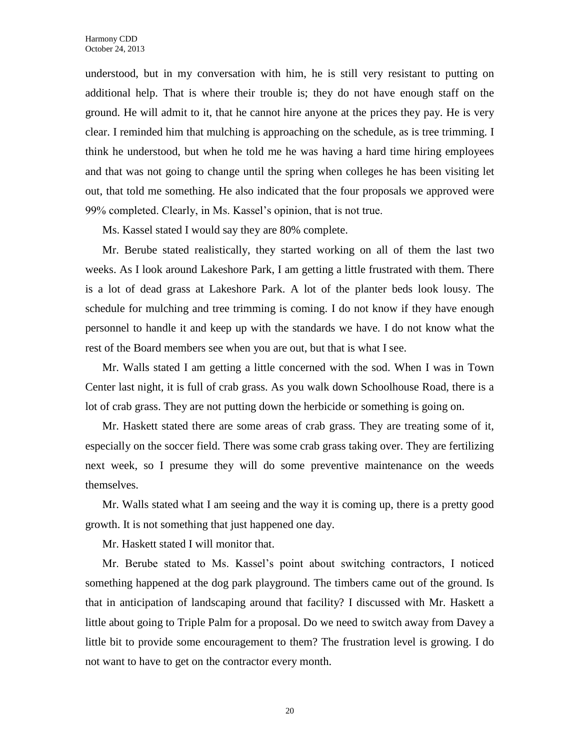understood, but in my conversation with him, he is still very resistant to putting on additional help. That is where their trouble is; they do not have enough staff on the ground. He will admit to it, that he cannot hire anyone at the prices they pay. He is very clear. I reminded him that mulching is approaching on the schedule, as is tree trimming. I think he understood, but when he told me he was having a hard time hiring employees and that was not going to change until the spring when colleges he has been visiting let out, that told me something. He also indicated that the four proposals we approved were 99% completed. Clearly, in Ms. Kassel's opinion, that is not true.

Ms. Kassel stated I would say they are 80% complete.

Mr. Berube stated realistically, they started working on all of them the last two weeks. As I look around Lakeshore Park, I am getting a little frustrated with them. There is a lot of dead grass at Lakeshore Park. A lot of the planter beds look lousy. The schedule for mulching and tree trimming is coming. I do not know if they have enough personnel to handle it and keep up with the standards we have. I do not know what the rest of the Board members see when you are out, but that is what I see.

Mr. Walls stated I am getting a little concerned with the sod. When I was in Town Center last night, it is full of crab grass. As you walk down Schoolhouse Road, there is a lot of crab grass. They are not putting down the herbicide or something is going on.

Mr. Haskett stated there are some areas of crab grass. They are treating some of it, especially on the soccer field. There was some crab grass taking over. They are fertilizing next week, so I presume they will do some preventive maintenance on the weeds themselves.

Mr. Walls stated what I am seeing and the way it is coming up, there is a pretty good growth. It is not something that just happened one day.

Mr. Haskett stated I will monitor that.

Mr. Berube stated to Ms. Kassel's point about switching contractors, I noticed something happened at the dog park playground. The timbers came out of the ground. Is that in anticipation of landscaping around that facility? I discussed with Mr. Haskett a little about going to Triple Palm for a proposal. Do we need to switch away from Davey a little bit to provide some encouragement to them? The frustration level is growing. I do not want to have to get on the contractor every month.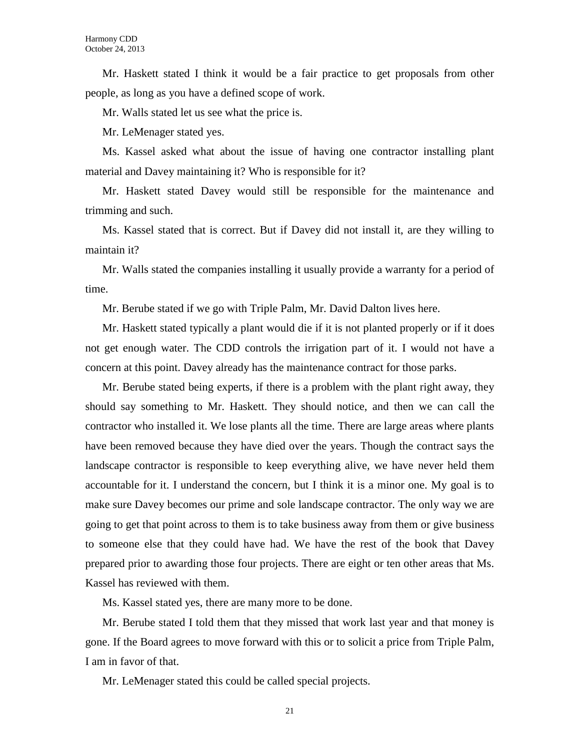Mr. Haskett stated I think it would be a fair practice to get proposals from other people, as long as you have a defined scope of work.

Mr. Walls stated let us see what the price is.

Mr. LeMenager stated yes.

Ms. Kassel asked what about the issue of having one contractor installing plant material and Davey maintaining it? Who is responsible for it?

Mr. Haskett stated Davey would still be responsible for the maintenance and trimming and such.

Ms. Kassel stated that is correct. But if Davey did not install it, are they willing to maintain it?

Mr. Walls stated the companies installing it usually provide a warranty for a period of time.

Mr. Berube stated if we go with Triple Palm, Mr. David Dalton lives here.

Mr. Haskett stated typically a plant would die if it is not planted properly or if it does not get enough water. The CDD controls the irrigation part of it. I would not have a concern at this point. Davey already has the maintenance contract for those parks.

Mr. Berube stated being experts, if there is a problem with the plant right away, they should say something to Mr. Haskett. They should notice, and then we can call the contractor who installed it. We lose plants all the time. There are large areas where plants have been removed because they have died over the years. Though the contract says the landscape contractor is responsible to keep everything alive, we have never held them accountable for it. I understand the concern, but I think it is a minor one. My goal is to make sure Davey becomes our prime and sole landscape contractor. The only way we are going to get that point across to them is to take business away from them or give business to someone else that they could have had. We have the rest of the book that Davey prepared prior to awarding those four projects. There are eight or ten other areas that Ms. Kassel has reviewed with them.

Ms. Kassel stated yes, there are many more to be done.

Mr. Berube stated I told them that they missed that work last year and that money is gone. If the Board agrees to move forward with this or to solicit a price from Triple Palm, I am in favor of that.

Mr. LeMenager stated this could be called special projects.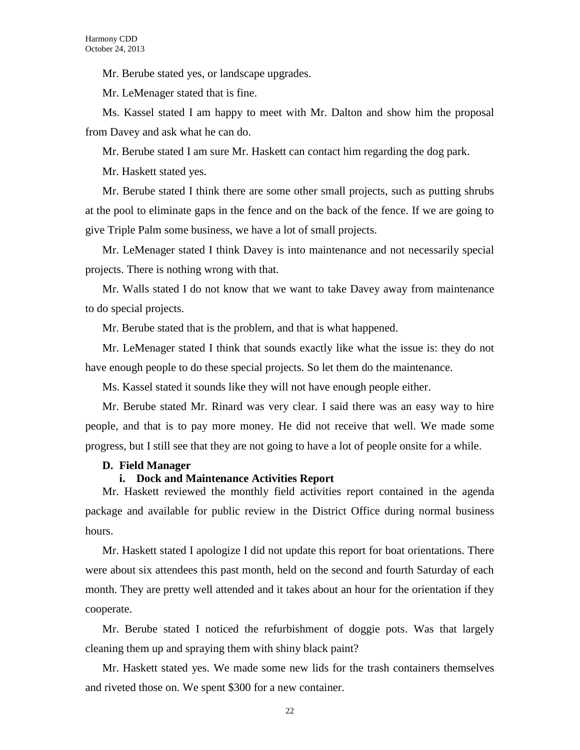Mr. Berube stated yes, or landscape upgrades.

Mr. LeMenager stated that is fine.

Ms. Kassel stated I am happy to meet with Mr. Dalton and show him the proposal from Davey and ask what he can do.

Mr. Berube stated I am sure Mr. Haskett can contact him regarding the dog park.

Mr. Haskett stated yes.

Mr. Berube stated I think there are some other small projects, such as putting shrubs at the pool to eliminate gaps in the fence and on the back of the fence. If we are going to give Triple Palm some business, we have a lot of small projects.

Mr. LeMenager stated I think Davey is into maintenance and not necessarily special projects. There is nothing wrong with that.

Mr. Walls stated I do not know that we want to take Davey away from maintenance to do special projects.

Mr. Berube stated that is the problem, and that is what happened.

Mr. LeMenager stated I think that sounds exactly like what the issue is: they do not have enough people to do these special projects. So let them do the maintenance.

Ms. Kassel stated it sounds like they will not have enough people either.

Mr. Berube stated Mr. Rinard was very clear. I said there was an easy way to hire people, and that is to pay more money. He did not receive that well. We made some progress, but I still see that they are not going to have a lot of people onsite for a while.

#### **D. Field Manager**

#### **i. Dock and Maintenance Activities Report**

Mr. Haskett reviewed the monthly field activities report contained in the agenda package and available for public review in the District Office during normal business hours.

Mr. Haskett stated I apologize I did not update this report for boat orientations. There were about six attendees this past month, held on the second and fourth Saturday of each month. They are pretty well attended and it takes about an hour for the orientation if they cooperate.

Mr. Berube stated I noticed the refurbishment of doggie pots. Was that largely cleaning them up and spraying them with shiny black paint?

Mr. Haskett stated yes. We made some new lids for the trash containers themselves and riveted those on. We spent \$300 for a new container.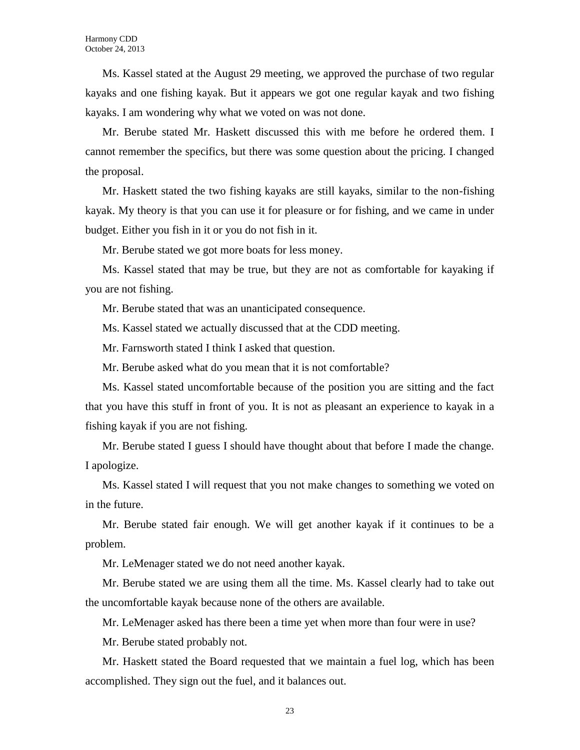Ms. Kassel stated at the August 29 meeting, we approved the purchase of two regular kayaks and one fishing kayak. But it appears we got one regular kayak and two fishing kayaks. I am wondering why what we voted on was not done.

Mr. Berube stated Mr. Haskett discussed this with me before he ordered them. I cannot remember the specifics, but there was some question about the pricing. I changed the proposal.

Mr. Haskett stated the two fishing kayaks are still kayaks, similar to the non-fishing kayak. My theory is that you can use it for pleasure or for fishing, and we came in under budget. Either you fish in it or you do not fish in it.

Mr. Berube stated we got more boats for less money.

Ms. Kassel stated that may be true, but they are not as comfortable for kayaking if you are not fishing.

Mr. Berube stated that was an unanticipated consequence.

Ms. Kassel stated we actually discussed that at the CDD meeting.

Mr. Farnsworth stated I think I asked that question.

Mr. Berube asked what do you mean that it is not comfortable?

Ms. Kassel stated uncomfortable because of the position you are sitting and the fact that you have this stuff in front of you. It is not as pleasant an experience to kayak in a fishing kayak if you are not fishing.

Mr. Berube stated I guess I should have thought about that before I made the change. I apologize.

Ms. Kassel stated I will request that you not make changes to something we voted on in the future.

Mr. Berube stated fair enough. We will get another kayak if it continues to be a problem.

Mr. LeMenager stated we do not need another kayak.

Mr. Berube stated we are using them all the time. Ms. Kassel clearly had to take out the uncomfortable kayak because none of the others are available.

Mr. LeMenager asked has there been a time yet when more than four were in use?

Mr. Berube stated probably not.

Mr. Haskett stated the Board requested that we maintain a fuel log, which has been accomplished. They sign out the fuel, and it balances out.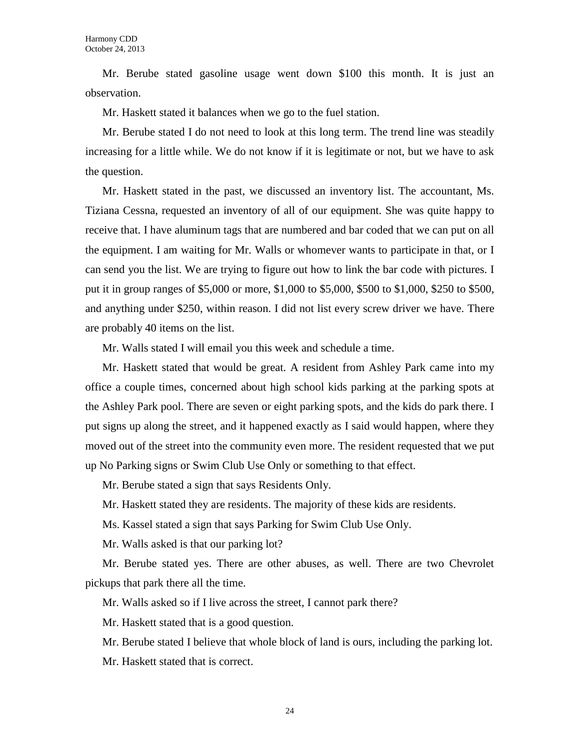Mr. Berube stated gasoline usage went down \$100 this month. It is just an observation.

Mr. Haskett stated it balances when we go to the fuel station.

Mr. Berube stated I do not need to look at this long term. The trend line was steadily increasing for a little while. We do not know if it is legitimate or not, but we have to ask the question.

Mr. Haskett stated in the past, we discussed an inventory list. The accountant, Ms. Tiziana Cessna, requested an inventory of all of our equipment. She was quite happy to receive that. I have aluminum tags that are numbered and bar coded that we can put on all the equipment. I am waiting for Mr. Walls or whomever wants to participate in that, or I can send you the list. We are trying to figure out how to link the bar code with pictures. I put it in group ranges of \$5,000 or more, \$1,000 to \$5,000, \$500 to \$1,000, \$250 to \$500, and anything under \$250, within reason. I did not list every screw driver we have. There are probably 40 items on the list.

Mr. Walls stated I will email you this week and schedule a time.

Mr. Haskett stated that would be great. A resident from Ashley Park came into my office a couple times, concerned about high school kids parking at the parking spots at the Ashley Park pool. There are seven or eight parking spots, and the kids do park there. I put signs up along the street, and it happened exactly as I said would happen, where they moved out of the street into the community even more. The resident requested that we put up No Parking signs or Swim Club Use Only or something to that effect.

Mr. Berube stated a sign that says Residents Only.

Mr. Haskett stated they are residents. The majority of these kids are residents.

Ms. Kassel stated a sign that says Parking for Swim Club Use Only.

Mr. Walls asked is that our parking lot?

Mr. Berube stated yes. There are other abuses, as well. There are two Chevrolet pickups that park there all the time.

Mr. Walls asked so if I live across the street, I cannot park there?

Mr. Haskett stated that is a good question.

Mr. Berube stated I believe that whole block of land is ours, including the parking lot.

Mr. Haskett stated that is correct.

24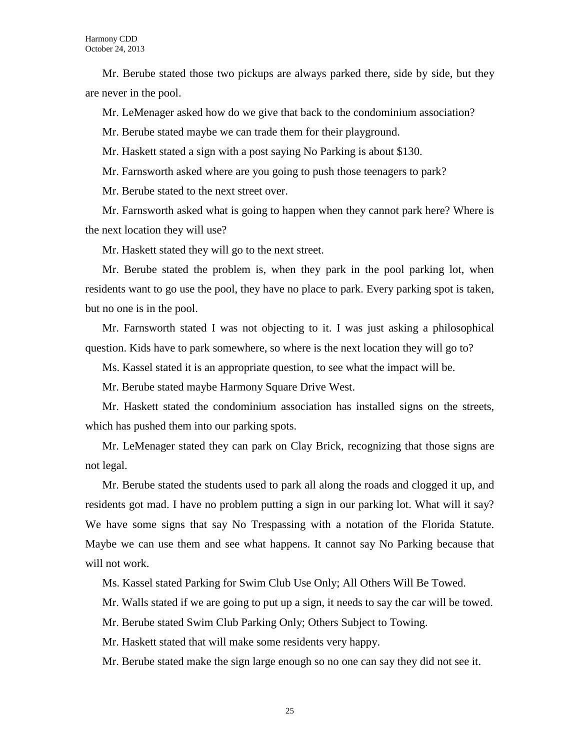Mr. Berube stated those two pickups are always parked there, side by side, but they are never in the pool.

Mr. LeMenager asked how do we give that back to the condominium association?

Mr. Berube stated maybe we can trade them for their playground.

Mr. Haskett stated a sign with a post saying No Parking is about \$130.

Mr. Farnsworth asked where are you going to push those teenagers to park?

Mr. Berube stated to the next street over.

Mr. Farnsworth asked what is going to happen when they cannot park here? Where is the next location they will use?

Mr. Haskett stated they will go to the next street.

Mr. Berube stated the problem is, when they park in the pool parking lot, when residents want to go use the pool, they have no place to park. Every parking spot is taken, but no one is in the pool.

Mr. Farnsworth stated I was not objecting to it. I was just asking a philosophical question. Kids have to park somewhere, so where is the next location they will go to?

Ms. Kassel stated it is an appropriate question, to see what the impact will be.

Mr. Berube stated maybe Harmony Square Drive West.

Mr. Haskett stated the condominium association has installed signs on the streets, which has pushed them into our parking spots.

Mr. LeMenager stated they can park on Clay Brick, recognizing that those signs are not legal.

Mr. Berube stated the students used to park all along the roads and clogged it up, and residents got mad. I have no problem putting a sign in our parking lot. What will it say? We have some signs that say No Trespassing with a notation of the Florida Statute. Maybe we can use them and see what happens. It cannot say No Parking because that will not work.

Ms. Kassel stated Parking for Swim Club Use Only; All Others Will Be Towed.

Mr. Walls stated if we are going to put up a sign, it needs to say the car will be towed.

Mr. Berube stated Swim Club Parking Only; Others Subject to Towing.

Mr. Haskett stated that will make some residents very happy.

Mr. Berube stated make the sign large enough so no one can say they did not see it.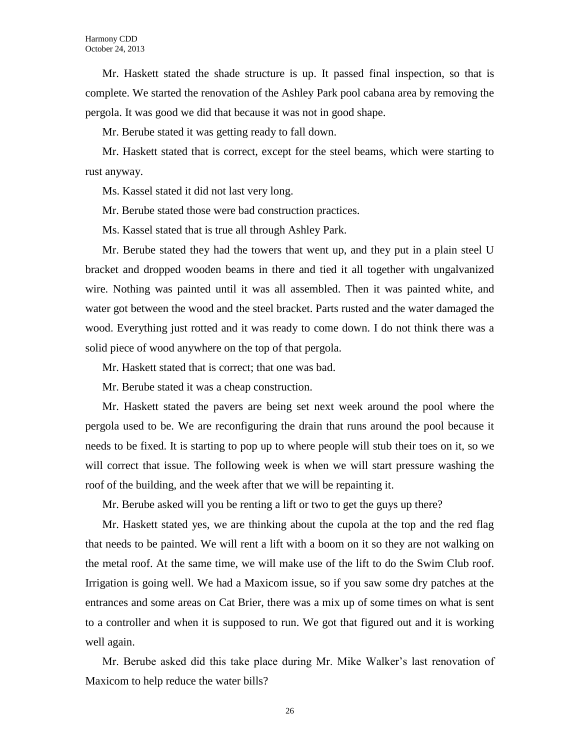Mr. Haskett stated the shade structure is up. It passed final inspection, so that is complete. We started the renovation of the Ashley Park pool cabana area by removing the pergola. It was good we did that because it was not in good shape.

Mr. Berube stated it was getting ready to fall down.

Mr. Haskett stated that is correct, except for the steel beams, which were starting to rust anyway.

Ms. Kassel stated it did not last very long.

Mr. Berube stated those were bad construction practices.

Ms. Kassel stated that is true all through Ashley Park.

Mr. Berube stated they had the towers that went up, and they put in a plain steel U bracket and dropped wooden beams in there and tied it all together with ungalvanized wire. Nothing was painted until it was all assembled. Then it was painted white, and water got between the wood and the steel bracket. Parts rusted and the water damaged the wood. Everything just rotted and it was ready to come down. I do not think there was a solid piece of wood anywhere on the top of that pergola.

Mr. Haskett stated that is correct; that one was bad.

Mr. Berube stated it was a cheap construction.

Mr. Haskett stated the pavers are being set next week around the pool where the pergola used to be. We are reconfiguring the drain that runs around the pool because it needs to be fixed. It is starting to pop up to where people will stub their toes on it, so we will correct that issue. The following week is when we will start pressure washing the roof of the building, and the week after that we will be repainting it.

Mr. Berube asked will you be renting a lift or two to get the guys up there?

Mr. Haskett stated yes, we are thinking about the cupola at the top and the red flag that needs to be painted. We will rent a lift with a boom on it so they are not walking on the metal roof. At the same time, we will make use of the lift to do the Swim Club roof. Irrigation is going well. We had a Maxicom issue, so if you saw some dry patches at the entrances and some areas on Cat Brier, there was a mix up of some times on what is sent to a controller and when it is supposed to run. We got that figured out and it is working well again.

Mr. Berube asked did this take place during Mr. Mike Walker's last renovation of Maxicom to help reduce the water bills?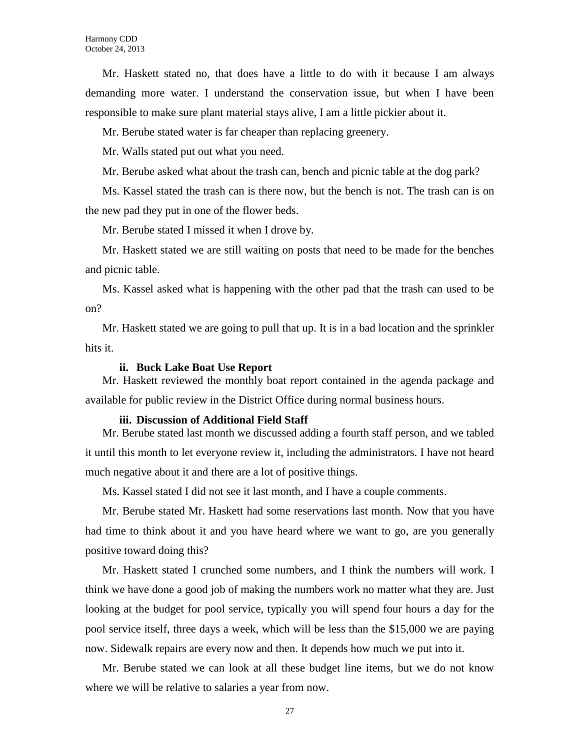Mr. Haskett stated no, that does have a little to do with it because I am always demanding more water. I understand the conservation issue, but when I have been responsible to make sure plant material stays alive, I am a little pickier about it.

Mr. Berube stated water is far cheaper than replacing greenery.

Mr. Walls stated put out what you need.

Mr. Berube asked what about the trash can, bench and picnic table at the dog park?

Ms. Kassel stated the trash can is there now, but the bench is not. The trash can is on the new pad they put in one of the flower beds.

Mr. Berube stated I missed it when I drove by.

Mr. Haskett stated we are still waiting on posts that need to be made for the benches and picnic table.

Ms. Kassel asked what is happening with the other pad that the trash can used to be on?

Mr. Haskett stated we are going to pull that up. It is in a bad location and the sprinkler hits it.

#### **ii. Buck Lake Boat Use Report**

Mr. Haskett reviewed the monthly boat report contained in the agenda package and available for public review in the District Office during normal business hours.

#### **iii. Discussion of Additional Field Staff**

Mr. Berube stated last month we discussed adding a fourth staff person, and we tabled it until this month to let everyone review it, including the administrators. I have not heard much negative about it and there are a lot of positive things.

Ms. Kassel stated I did not see it last month, and I have a couple comments.

Mr. Berube stated Mr. Haskett had some reservations last month. Now that you have had time to think about it and you have heard where we want to go, are you generally positive toward doing this?

Mr. Haskett stated I crunched some numbers, and I think the numbers will work. I think we have done a good job of making the numbers work no matter what they are. Just looking at the budget for pool service, typically you will spend four hours a day for the pool service itself, three days a week, which will be less than the \$15,000 we are paying now. Sidewalk repairs are every now and then. It depends how much we put into it.

Mr. Berube stated we can look at all these budget line items, but we do not know where we will be relative to salaries a year from now.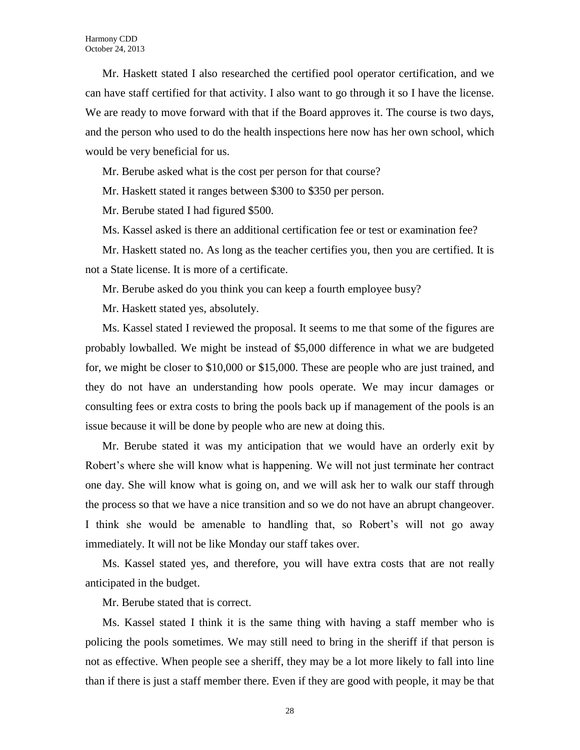Mr. Haskett stated I also researched the certified pool operator certification, and we can have staff certified for that activity. I also want to go through it so I have the license. We are ready to move forward with that if the Board approves it. The course is two days, and the person who used to do the health inspections here now has her own school, which would be very beneficial for us.

Mr. Berube asked what is the cost per person for that course?

Mr. Haskett stated it ranges between \$300 to \$350 per person.

Mr. Berube stated I had figured \$500.

Ms. Kassel asked is there an additional certification fee or test or examination fee?

Mr. Haskett stated no. As long as the teacher certifies you, then you are certified. It is not a State license. It is more of a certificate.

Mr. Berube asked do you think you can keep a fourth employee busy?

Mr. Haskett stated yes, absolutely.

Ms. Kassel stated I reviewed the proposal. It seems to me that some of the figures are probably lowballed. We might be instead of \$5,000 difference in what we are budgeted for, we might be closer to \$10,000 or \$15,000. These are people who are just trained, and they do not have an understanding how pools operate. We may incur damages or consulting fees or extra costs to bring the pools back up if management of the pools is an issue because it will be done by people who are new at doing this.

Mr. Berube stated it was my anticipation that we would have an orderly exit by Robert's where she will know what is happening. We will not just terminate her contract one day. She will know what is going on, and we will ask her to walk our staff through the process so that we have a nice transition and so we do not have an abrupt changeover. I think she would be amenable to handling that, so Robert's will not go away immediately. It will not be like Monday our staff takes over.

Ms. Kassel stated yes, and therefore, you will have extra costs that are not really anticipated in the budget.

Mr. Berube stated that is correct.

Ms. Kassel stated I think it is the same thing with having a staff member who is policing the pools sometimes. We may still need to bring in the sheriff if that person is not as effective. When people see a sheriff, they may be a lot more likely to fall into line than if there is just a staff member there. Even if they are good with people, it may be that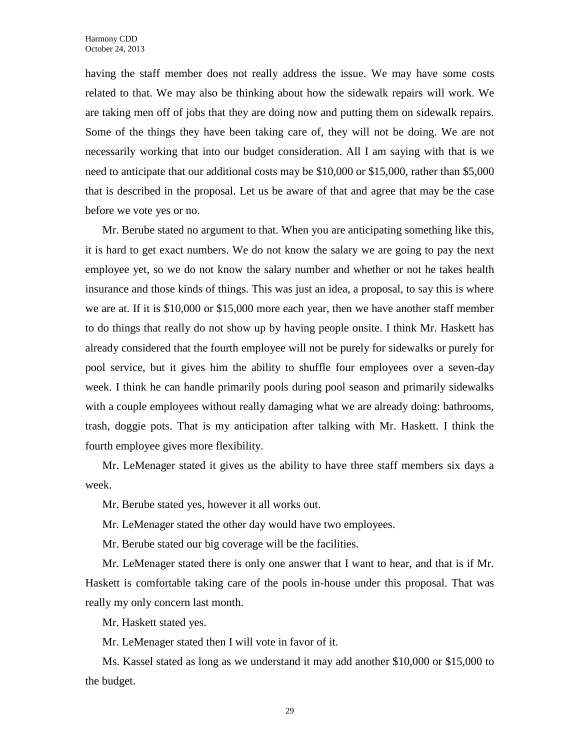having the staff member does not really address the issue. We may have some costs related to that. We may also be thinking about how the sidewalk repairs will work. We are taking men off of jobs that they are doing now and putting them on sidewalk repairs. Some of the things they have been taking care of, they will not be doing. We are not necessarily working that into our budget consideration. All I am saying with that is we need to anticipate that our additional costs may be \$10,000 or \$15,000, rather than \$5,000 that is described in the proposal. Let us be aware of that and agree that may be the case before we vote yes or no.

Mr. Berube stated no argument to that. When you are anticipating something like this, it is hard to get exact numbers. We do not know the salary we are going to pay the next employee yet, so we do not know the salary number and whether or not he takes health insurance and those kinds of things. This was just an idea, a proposal, to say this is where we are at. If it is \$10,000 or \$15,000 more each year, then we have another staff member to do things that really do not show up by having people onsite. I think Mr. Haskett has already considered that the fourth employee will not be purely for sidewalks or purely for pool service, but it gives him the ability to shuffle four employees over a seven-day week. I think he can handle primarily pools during pool season and primarily sidewalks with a couple employees without really damaging what we are already doing: bathrooms, trash, doggie pots. That is my anticipation after talking with Mr. Haskett. I think the fourth employee gives more flexibility.

Mr. LeMenager stated it gives us the ability to have three staff members six days a week.

Mr. Berube stated yes, however it all works out.

Mr. LeMenager stated the other day would have two employees.

Mr. Berube stated our big coverage will be the facilities.

Mr. LeMenager stated there is only one answer that I want to hear, and that is if Mr. Haskett is comfortable taking care of the pools in-house under this proposal. That was really my only concern last month.

Mr. Haskett stated yes.

Mr. LeMenager stated then I will vote in favor of it.

Ms. Kassel stated as long as we understand it may add another \$10,000 or \$15,000 to the budget.

29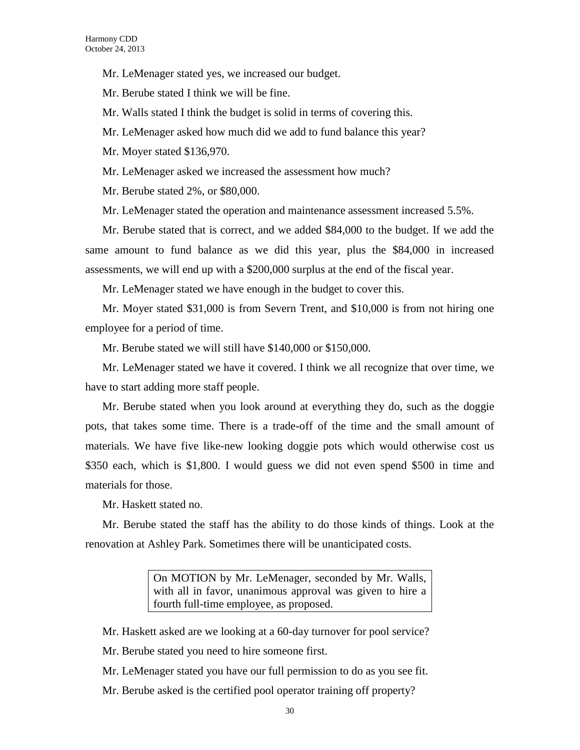Mr. LeMenager stated yes, we increased our budget.

Mr. Berube stated I think we will be fine.

Mr. Walls stated I think the budget is solid in terms of covering this.

Mr. LeMenager asked how much did we add to fund balance this year?

Mr. Moyer stated \$136,970.

Mr. LeMenager asked we increased the assessment how much?

Mr. Berube stated 2%, or \$80,000.

Mr. LeMenager stated the operation and maintenance assessment increased 5.5%.

Mr. Berube stated that is correct, and we added \$84,000 to the budget. If we add the same amount to fund balance as we did this year, plus the \$84,000 in increased assessments, we will end up with a \$200,000 surplus at the end of the fiscal year.

Mr. LeMenager stated we have enough in the budget to cover this.

Mr. Moyer stated \$31,000 is from Severn Trent, and \$10,000 is from not hiring one employee for a period of time.

Mr. Berube stated we will still have \$140,000 or \$150,000.

Mr. LeMenager stated we have it covered. I think we all recognize that over time, we have to start adding more staff people.

Mr. Berube stated when you look around at everything they do, such as the doggie pots, that takes some time. There is a trade-off of the time and the small amount of materials. We have five like-new looking doggie pots which would otherwise cost us \$350 each, which is \$1,800. I would guess we did not even spend \$500 in time and materials for those.

Mr. Haskett stated no.

Mr. Berube stated the staff has the ability to do those kinds of things. Look at the renovation at Ashley Park. Sometimes there will be unanticipated costs.

> On MOTION by Mr. LeMenager, seconded by Mr. Walls, with all in favor, unanimous approval was given to hire a fourth full-time employee, as proposed.

Mr. Haskett asked are we looking at a 60-day turnover for pool service?

Mr. Berube stated you need to hire someone first.

Mr. LeMenager stated you have our full permission to do as you see fit.

Mr. Berube asked is the certified pool operator training off property?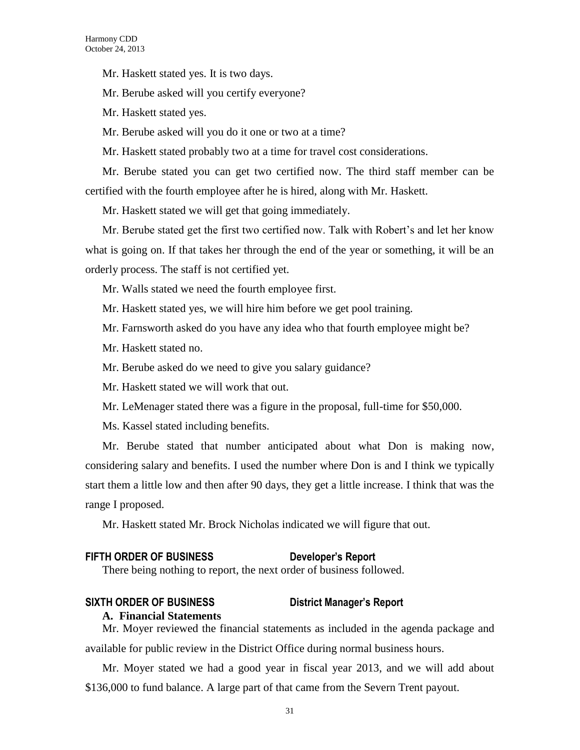Mr. Haskett stated yes. It is two days.

Mr. Berube asked will you certify everyone?

Mr. Haskett stated yes.

Mr. Berube asked will you do it one or two at a time?

Mr. Haskett stated probably two at a time for travel cost considerations.

Mr. Berube stated you can get two certified now. The third staff member can be certified with the fourth employee after he is hired, along with Mr. Haskett.

Mr. Haskett stated we will get that going immediately.

Mr. Berube stated get the first two certified now. Talk with Robert's and let her know what is going on. If that takes her through the end of the year or something, it will be an orderly process. The staff is not certified yet.

Mr. Walls stated we need the fourth employee first.

Mr. Haskett stated yes, we will hire him before we get pool training.

Mr. Farnsworth asked do you have any idea who that fourth employee might be?

Mr. Haskett stated no.

Mr. Berube asked do we need to give you salary guidance?

Mr. Haskett stated we will work that out.

Mr. LeMenager stated there was a figure in the proposal, full-time for \$50,000.

Ms. Kassel stated including benefits.

Mr. Berube stated that number anticipated about what Don is making now, considering salary and benefits. I used the number where Don is and I think we typically start them a little low and then after 90 days, they get a little increase. I think that was the range I proposed.

Mr. Haskett stated Mr. Brock Nicholas indicated we will figure that out.

#### **FIFTH ORDER OF BUSINESS Developer's Report**

There being nothing to report, the next order of business followed.

#### **SIXTH ORDER OF BUSINESS District Manager's Report**

#### **A. Financial Statements**

Mr. Moyer reviewed the financial statements as included in the agenda package and available for public review in the District Office during normal business hours.

Mr. Moyer stated we had a good year in fiscal year 2013, and we will add about \$136,000 to fund balance. A large part of that came from the Severn Trent payout.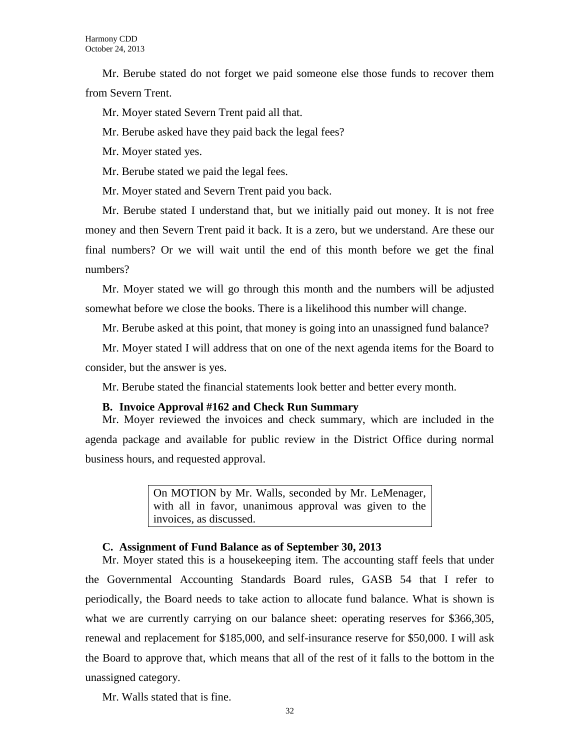Mr. Berube stated do not forget we paid someone else those funds to recover them from Severn Trent.

Mr. Moyer stated Severn Trent paid all that.

Mr. Berube asked have they paid back the legal fees?

Mr. Moyer stated yes.

Mr. Berube stated we paid the legal fees.

Mr. Moyer stated and Severn Trent paid you back.

Mr. Berube stated I understand that, but we initially paid out money. It is not free money and then Severn Trent paid it back. It is a zero, but we understand. Are these our final numbers? Or we will wait until the end of this month before we get the final numbers?

Mr. Moyer stated we will go through this month and the numbers will be adjusted somewhat before we close the books. There is a likelihood this number will change.

Mr. Berube asked at this point, that money is going into an unassigned fund balance?

Mr. Moyer stated I will address that on one of the next agenda items for the Board to consider, but the answer is yes.

Mr. Berube stated the financial statements look better and better every month.

#### **B. Invoice Approval #162 and Check Run Summary**

Mr. Moyer reviewed the invoices and check summary, which are included in the agenda package and available for public review in the District Office during normal business hours, and requested approval.

> On MOTION by Mr. Walls, seconded by Mr. LeMenager, with all in favor, unanimous approval was given to the invoices, as discussed.

#### **C. Assignment of Fund Balance as of September 30, 2013**

Mr. Moyer stated this is a housekeeping item. The accounting staff feels that under the Governmental Accounting Standards Board rules, GASB 54 that I refer to periodically, the Board needs to take action to allocate fund balance. What is shown is what we are currently carrying on our balance sheet: operating reserves for \$366,305, renewal and replacement for \$185,000, and self-insurance reserve for \$50,000. I will ask the Board to approve that, which means that all of the rest of it falls to the bottom in the unassigned category.

Mr. Walls stated that is fine.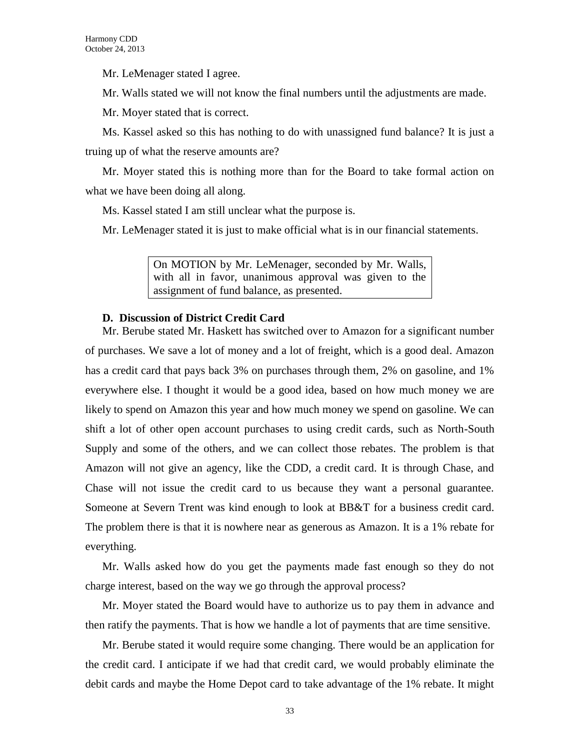Mr. LeMenager stated I agree.

Mr. Walls stated we will not know the final numbers until the adjustments are made.

Mr. Moyer stated that is correct.

Ms. Kassel asked so this has nothing to do with unassigned fund balance? It is just a truing up of what the reserve amounts are?

Mr. Moyer stated this is nothing more than for the Board to take formal action on what we have been doing all along.

Ms. Kassel stated I am still unclear what the purpose is.

Mr. LeMenager stated it is just to make official what is in our financial statements.

On MOTION by Mr. LeMenager, seconded by Mr. Walls, with all in favor, unanimous approval was given to the assignment of fund balance, as presented.

#### **D. Discussion of District Credit Card**

Mr. Berube stated Mr. Haskett has switched over to Amazon for a significant number of purchases. We save a lot of money and a lot of freight, which is a good deal. Amazon has a credit card that pays back 3% on purchases through them, 2% on gasoline, and 1% everywhere else. I thought it would be a good idea, based on how much money we are likely to spend on Amazon this year and how much money we spend on gasoline. We can shift a lot of other open account purchases to using credit cards, such as North-South Supply and some of the others, and we can collect those rebates. The problem is that Amazon will not give an agency, like the CDD, a credit card. It is through Chase, and Chase will not issue the credit card to us because they want a personal guarantee. Someone at Severn Trent was kind enough to look at BB&T for a business credit card. The problem there is that it is nowhere near as generous as Amazon. It is a 1% rebate for everything.

Mr. Walls asked how do you get the payments made fast enough so they do not charge interest, based on the way we go through the approval process?

Mr. Moyer stated the Board would have to authorize us to pay them in advance and then ratify the payments. That is how we handle a lot of payments that are time sensitive.

Mr. Berube stated it would require some changing. There would be an application for the credit card. I anticipate if we had that credit card, we would probably eliminate the debit cards and maybe the Home Depot card to take advantage of the 1% rebate. It might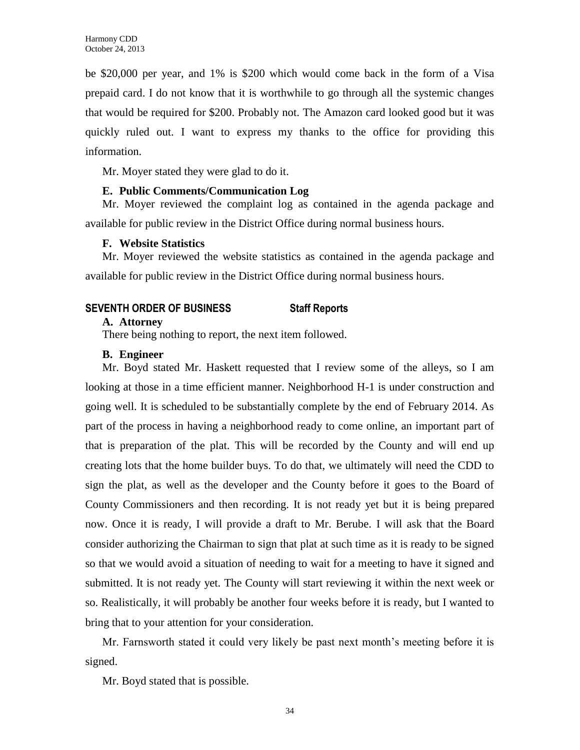be \$20,000 per year, and 1% is \$200 which would come back in the form of a Visa prepaid card. I do not know that it is worthwhile to go through all the systemic changes that would be required for \$200. Probably not. The Amazon card looked good but it was quickly ruled out. I want to express my thanks to the office for providing this information.

Mr. Moyer stated they were glad to do it.

### **E. Public Comments/Communication Log**

Mr. Moyer reviewed the complaint log as contained in the agenda package and available for public review in the District Office during normal business hours.

### **F. Website Statistics**

Mr. Moyer reviewed the website statistics as contained in the agenda package and available for public review in the District Office during normal business hours.

# **SEVENTH ORDER OF BUSINESS Staff Reports**

### **A. Attorney**

There being nothing to report, the next item followed.

### **B. Engineer**

Mr. Boyd stated Mr. Haskett requested that I review some of the alleys, so I am looking at those in a time efficient manner. Neighborhood H-1 is under construction and going well. It is scheduled to be substantially complete by the end of February 2014. As part of the process in having a neighborhood ready to come online, an important part of that is preparation of the plat. This will be recorded by the County and will end up creating lots that the home builder buys. To do that, we ultimately will need the CDD to sign the plat, as well as the developer and the County before it goes to the Board of County Commissioners and then recording. It is not ready yet but it is being prepared now. Once it is ready, I will provide a draft to Mr. Berube. I will ask that the Board consider authorizing the Chairman to sign that plat at such time as it is ready to be signed so that we would avoid a situation of needing to wait for a meeting to have it signed and submitted. It is not ready yet. The County will start reviewing it within the next week or so. Realistically, it will probably be another four weeks before it is ready, but I wanted to bring that to your attention for your consideration.

Mr. Farnsworth stated it could very likely be past next month's meeting before it is signed.

Mr. Boyd stated that is possible.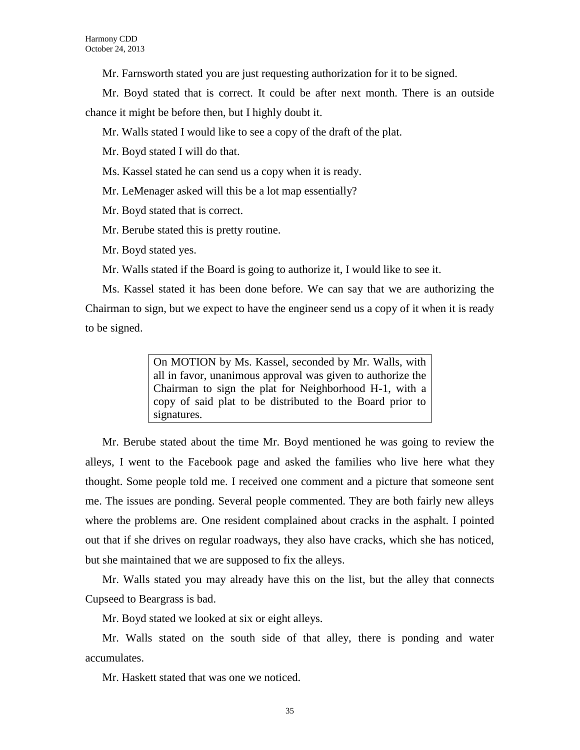Mr. Farnsworth stated you are just requesting authorization for it to be signed.

Mr. Boyd stated that is correct. It could be after next month. There is an outside chance it might be before then, but I highly doubt it.

- Mr. Walls stated I would like to see a copy of the draft of the plat.
- Mr. Boyd stated I will do that.
- Ms. Kassel stated he can send us a copy when it is ready.
- Mr. LeMenager asked will this be a lot map essentially?
- Mr. Boyd stated that is correct.
- Mr. Berube stated this is pretty routine.
- Mr. Boyd stated yes.
- Mr. Walls stated if the Board is going to authorize it, I would like to see it.

Ms. Kassel stated it has been done before. We can say that we are authorizing the Chairman to sign, but we expect to have the engineer send us a copy of it when it is ready to be signed.

> On MOTION by Ms. Kassel, seconded by Mr. Walls, with all in favor, unanimous approval was given to authorize the Chairman to sign the plat for Neighborhood H-1, with a copy of said plat to be distributed to the Board prior to signatures.

Mr. Berube stated about the time Mr. Boyd mentioned he was going to review the alleys, I went to the Facebook page and asked the families who live here what they thought. Some people told me. I received one comment and a picture that someone sent me. The issues are ponding. Several people commented. They are both fairly new alleys where the problems are. One resident complained about cracks in the asphalt. I pointed out that if she drives on regular roadways, they also have cracks, which she has noticed, but she maintained that we are supposed to fix the alleys.

Mr. Walls stated you may already have this on the list, but the alley that connects Cupseed to Beargrass is bad.

Mr. Boyd stated we looked at six or eight alleys.

Mr. Walls stated on the south side of that alley, there is ponding and water accumulates.

Mr. Haskett stated that was one we noticed.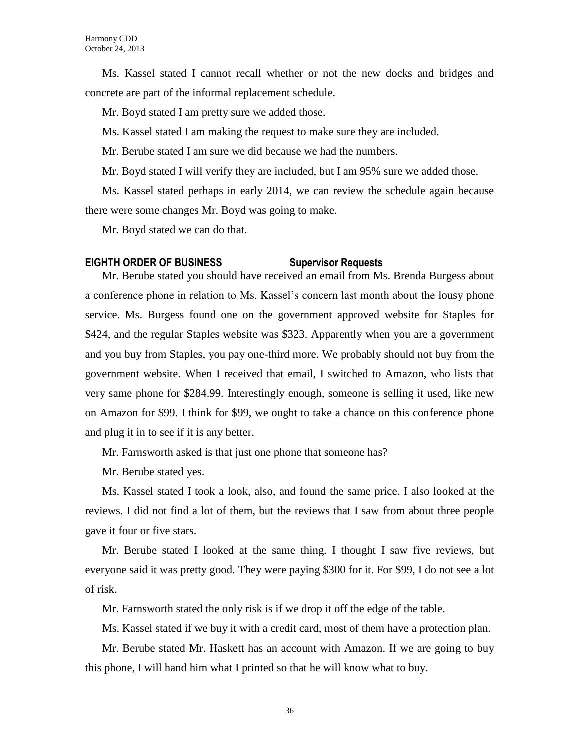Ms. Kassel stated I cannot recall whether or not the new docks and bridges and concrete are part of the informal replacement schedule.

Mr. Boyd stated I am pretty sure we added those.

Ms. Kassel stated I am making the request to make sure they are included.

Mr. Berube stated I am sure we did because we had the numbers.

Mr. Boyd stated I will verify they are included, but I am 95% sure we added those.

Ms. Kassel stated perhaps in early 2014, we can review the schedule again because there were some changes Mr. Boyd was going to make.

Mr. Boyd stated we can do that.

#### **EIGHTH ORDER OF BUSINESS Supervisor Requests**

Mr. Berube stated you should have received an email from Ms. Brenda Burgess about a conference phone in relation to Ms. Kassel's concern last month about the lousy phone service. Ms. Burgess found one on the government approved website for Staples for \$424, and the regular Staples website was \$323. Apparently when you are a government and you buy from Staples, you pay one-third more. We probably should not buy from the government website. When I received that email, I switched to Amazon, who lists that very same phone for \$284.99. Interestingly enough, someone is selling it used, like new on Amazon for \$99. I think for \$99, we ought to take a chance on this conference phone and plug it in to see if it is any better.

Mr. Farnsworth asked is that just one phone that someone has?

Mr. Berube stated yes.

Ms. Kassel stated I took a look, also, and found the same price. I also looked at the reviews. I did not find a lot of them, but the reviews that I saw from about three people gave it four or five stars.

Mr. Berube stated I looked at the same thing. I thought I saw five reviews, but everyone said it was pretty good. They were paying \$300 for it. For \$99, I do not see a lot of risk.

Mr. Farnsworth stated the only risk is if we drop it off the edge of the table.

Ms. Kassel stated if we buy it with a credit card, most of them have a protection plan.

Mr. Berube stated Mr. Haskett has an account with Amazon. If we are going to buy this phone, I will hand him what I printed so that he will know what to buy.